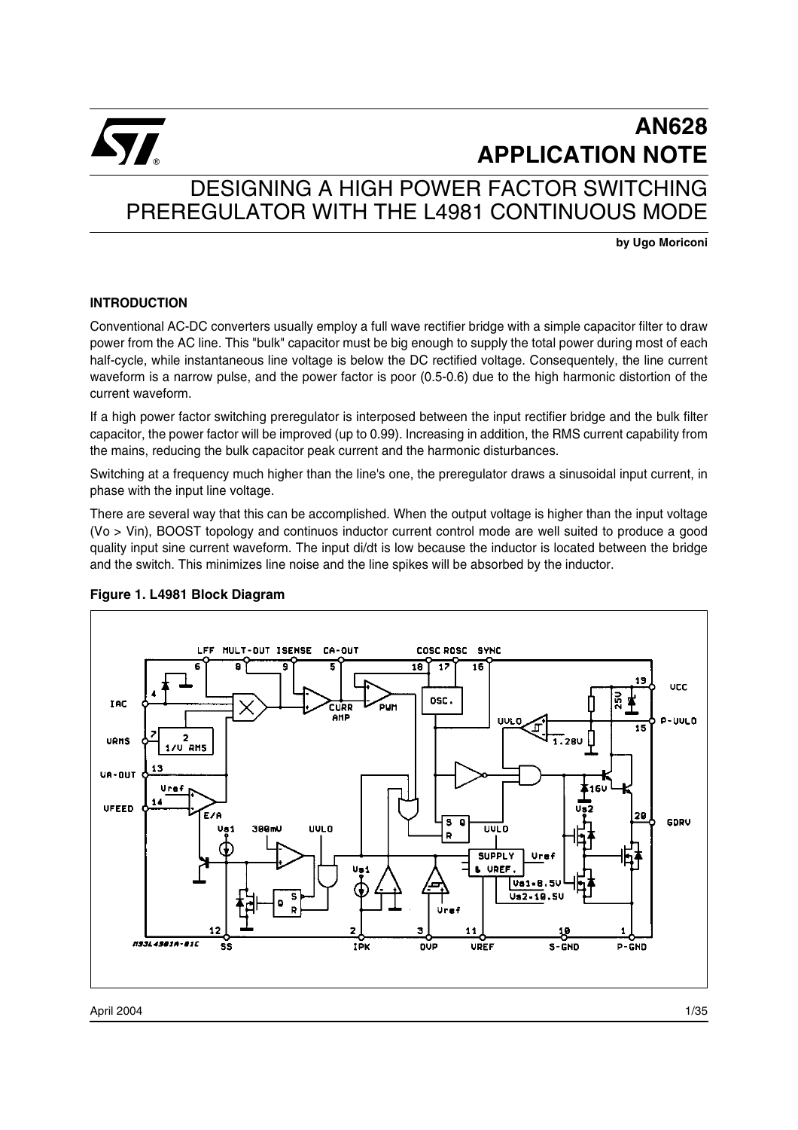

# DESIGNING A HIGH POWER FACTOR SWITCHING PREREGULATOR WITH THE L4981 CONTINUOUS MODE

**by Ugo Moriconi**

### **INTRODUCTION**

Conventional AC-DC converters usually employ a full wave rectifier bridge with a simple capacitor filter to draw power from the AC line. This "bulk" capacitor must be big enough to supply the total power during most of each half-cycle, while instantaneous line voltage is below the DC rectified voltage. Consequentely, the line current waveform is a narrow pulse, and the power factor is poor (0.5-0.6) due to the high harmonic distortion of the current waveform.

If a high power factor switching preregulator is interposed between the input rectifier bridge and the bulk filter capacitor, the power factor will be improved (up to 0.99). Increasing in addition, the RMS current capability from the mains, reducing the bulk capacitor peak current and the harmonic disturbances.

Switching at a frequency much higher than the line's one, the preregulator draws a sinusoidal input current, in phase with the input line voltage.

There are several way that this can be accomplished. When the output voltage is higher than the input voltage (Vo > Vin), BOOST topology and continuos inductor current control mode are well suited to produce a good quality input sine current waveform. The input di/dt is low because the inductor is located between the bridge and the switch. This minimizes line noise and the line spikes will be absorbed by the inductor.



### **Figure 1. L4981 Block Diagram**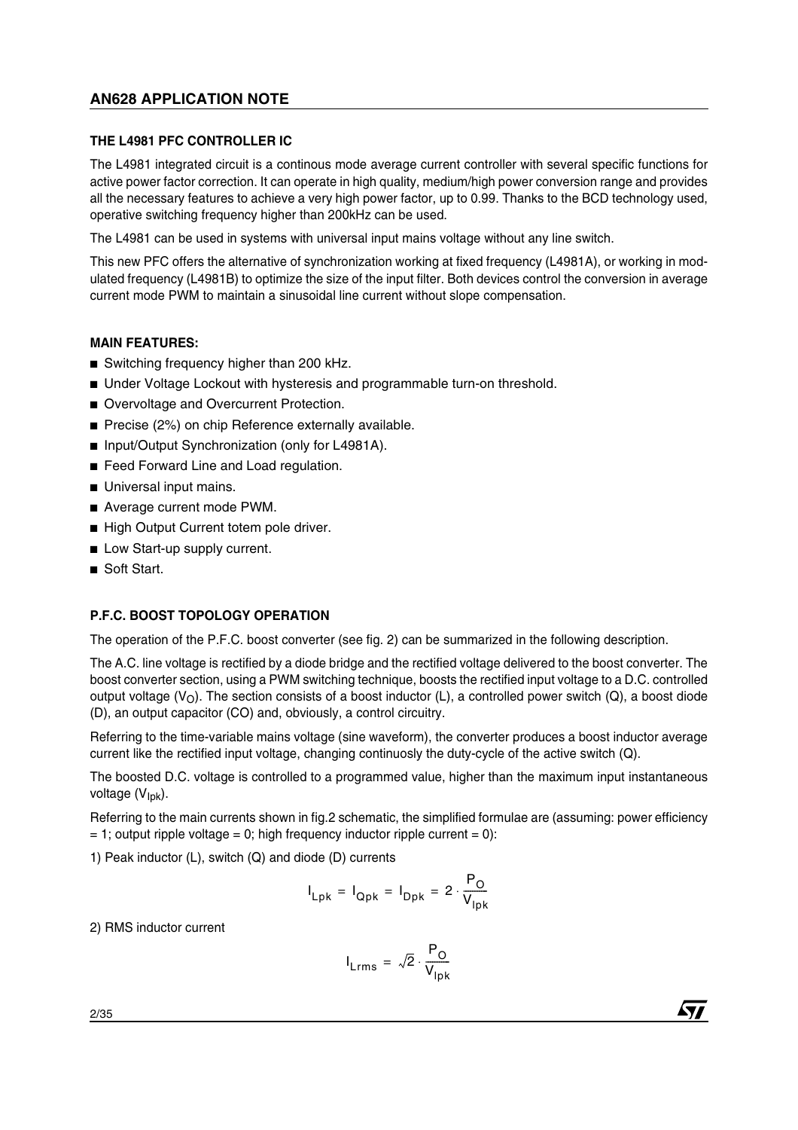### **THE L4981 PFC CONTROLLER IC**

The L4981 integrated circuit is a continous mode average current controller with several specific functions for active power factor correction. It can operate in high quality, medium/high power conversion range and provides all the necessary features to achieve a very high power factor, up to 0.99. Thanks to the BCD technology used, operative switching frequency higher than 200kHz can be used.

The L4981 can be used in systems with universal input mains voltage without any line switch.

This new PFC offers the alternative of synchronization working at fixed frequency (L4981A), or working in modulated frequency (L4981B) to optimize the size of the input filter. Both devices control the conversion in average current mode PWM to maintain a sinusoidal line current without slope compensation.

### **MAIN FEATURES:**

- Switching frequency higher than 200 kHz.
- Under Voltage Lockout with hysteresis and programmable turn-on threshold.
- Overvoltage and Overcurrent Protection.
- Precise (2%) on chip Reference externally available.
- Input/Output Synchronization (only for L4981A).
- Feed Forward Line and Load regulation.
- Universal input mains.
- Average current mode PWM.
- High Output Current totem pole driver.
- Low Start-up supply current.
- Soft Start.

### **P.F.C. BOOST TOPOLOGY OPERATION**

The operation of the P.F.C. boost converter (see fig. 2) can be summarized in the following description.

The A.C. line voltage is rectified by a diode bridge and the rectified voltage delivered to the boost converter. The boost converter section, using a PWM switching technique, boosts the rectified input voltage to a D.C. controlled output voltage (V<sub>O</sub>). The section consists of a boost inductor (L), a controlled power switch (Q), a boost diode (D), an output capacitor (CO) and, obviously, a control circuitry.

Referring to the time-variable mains voltage (sine waveform), the converter produces a boost inductor average current like the rectified input voltage, changing continuosly the duty-cycle of the active switch (Q).

The boosted D.C. voltage is controlled to a programmed value, higher than the maximum input instantaneous voltage (V<sub>Ipk</sub>).

Referring to the main currents shown in fig.2 schematic, the simplified formulae are (assuming: power efficiency  $= 1$ ; output ripple voltage  $= 0$ ; high frequency inductor ripple current  $= 0$ ):

1) Peak inductor (L), switch (Q) and diode (D) currents

$$
I_{Lpk} = I_{Qpk} = I_{Dpk} = 2 \cdot \frac{P_O}{V_{lpk}}
$$

2) RMS inductor current

$$
I_{\text{Lrms}} = \sqrt{2} \cdot \frac{P_{\text{O}}}{V_{\text{lpk}}}
$$

2/35

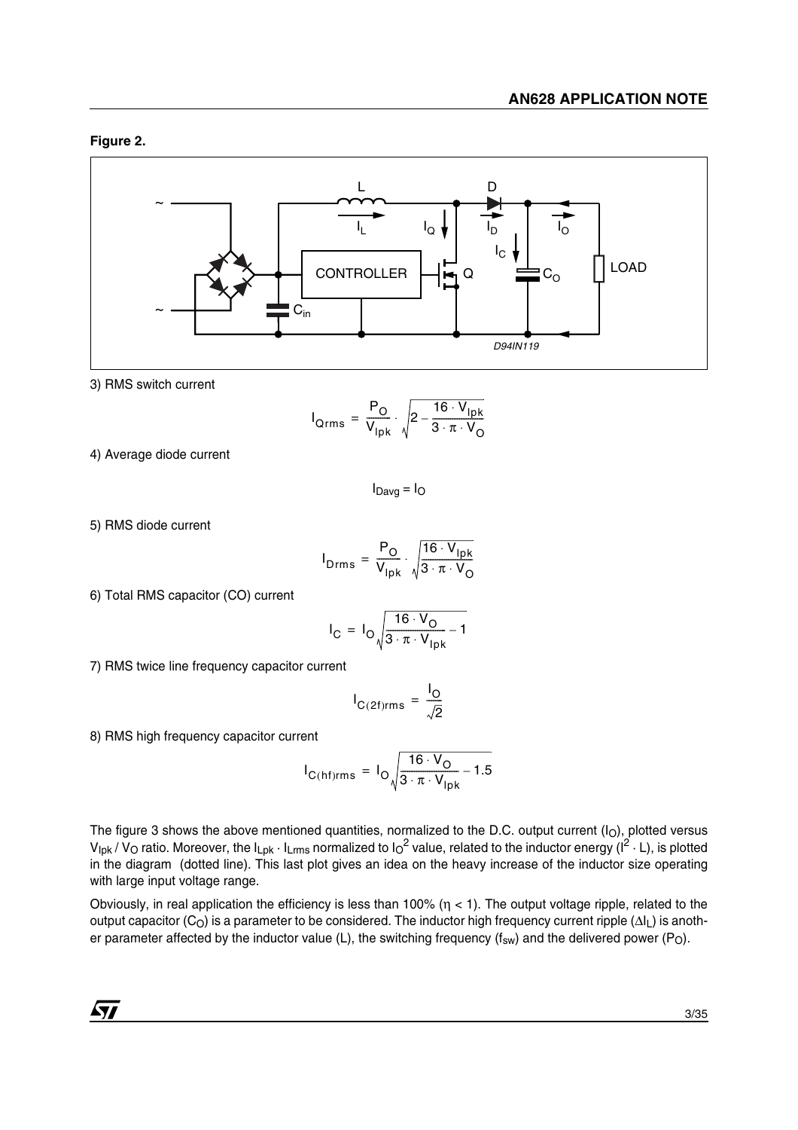### **Figure 2.**



3) RMS switch current

$$
I_{Qrms} = \frac{P_O}{V_{lpk}} \cdot \sqrt{2 - \frac{16 \cdot V_{lpk}}{3 \cdot \pi \cdot V_O}}
$$

4) Average diode current

 $I_{Dayg} = I_{O}$ 

5) RMS diode current

$$
I_{\text{Drms}} = \frac{P_{\text{O}}}{V_{\text{lpk}}}\cdot \sqrt{\frac{16 \cdot V_{\text{lpk}}}{3 \cdot \pi \cdot V_{\text{O}}}}
$$

6) Total RMS capacitor (CO) current

$$
I_C = I_O \sqrt{\frac{16 \cdot V_O}{3 \cdot \pi \cdot V_{lpk}} - 1}
$$

7) RMS twice line frequency capacitor current

$$
I_{C(2f)rms} = \frac{I_O}{\sqrt{2}}
$$

8) RMS high frequency capacitor current

$$
I_{\text{C(hf)rms}} = I_{\text{O}} \sqrt{\frac{16 \cdot V_{\text{O}}}{3 \cdot \pi \cdot V_{\text{lpk}}}} - 1.5
$$

The figure 3 shows the above mentioned quantities, normalized to the D.C. output current (I<sub>O</sub>), plotted versus  $V_{\text{lpk}}$  /  $V_{\text{O}}$  ratio. Moreover, the  $I_{\text{Lpk}} \cdot I_{\text{Lrms}}$  normalized to  $I_0^2$  value, related to the inductor energy ( $I^2 \cdot L$ ), is plotted in the diagram (dotted line). This last plot gives an idea on the heavy increase of the inductor size operating with large input voltage range.

Obviously, in real application the efficiency is less than 100% ( $\eta$  < 1). The output voltage ripple, related to the output capacitor (C<sub>O</sub>) is a parameter to be considered. The inductor high frequency current ripple (ΔI<sub>L</sub>) is another parameter affected by the inductor value (L), the switching frequency  $(f_{sw})$  and the delivered power (P<sub>O</sub>).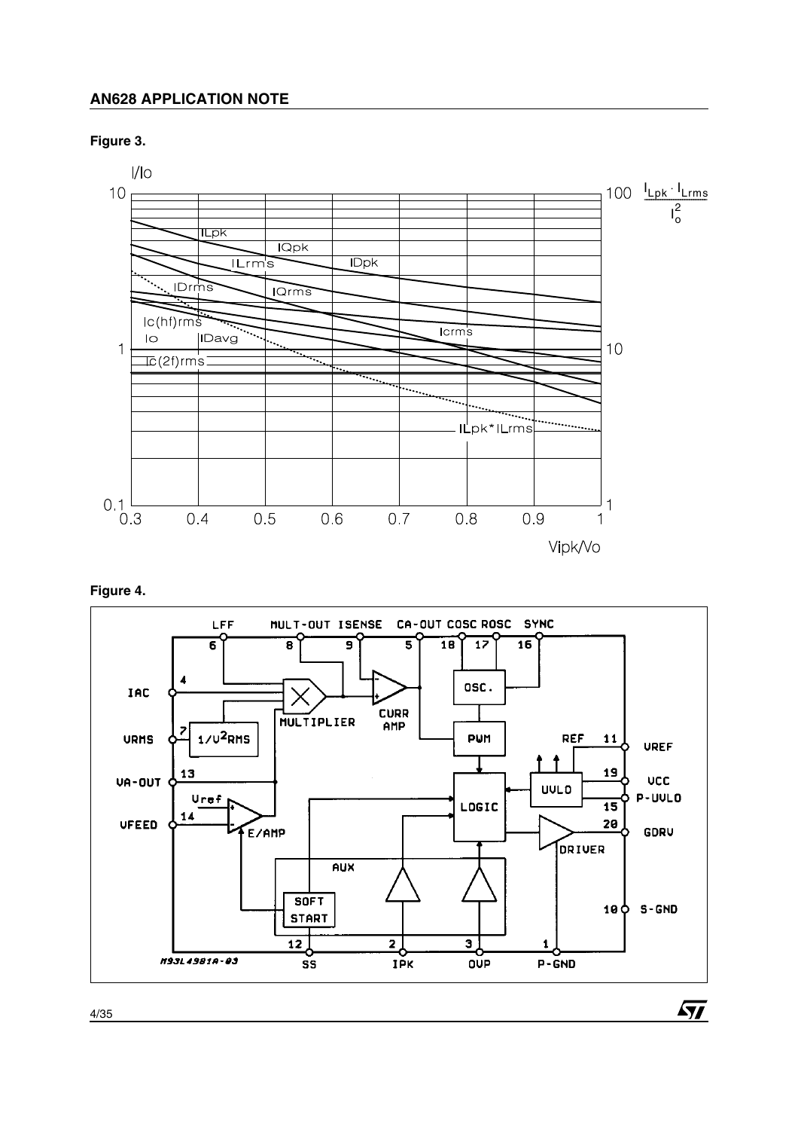### **Figure 3.**



# **Figure 4.**



 $\sqrt{1}$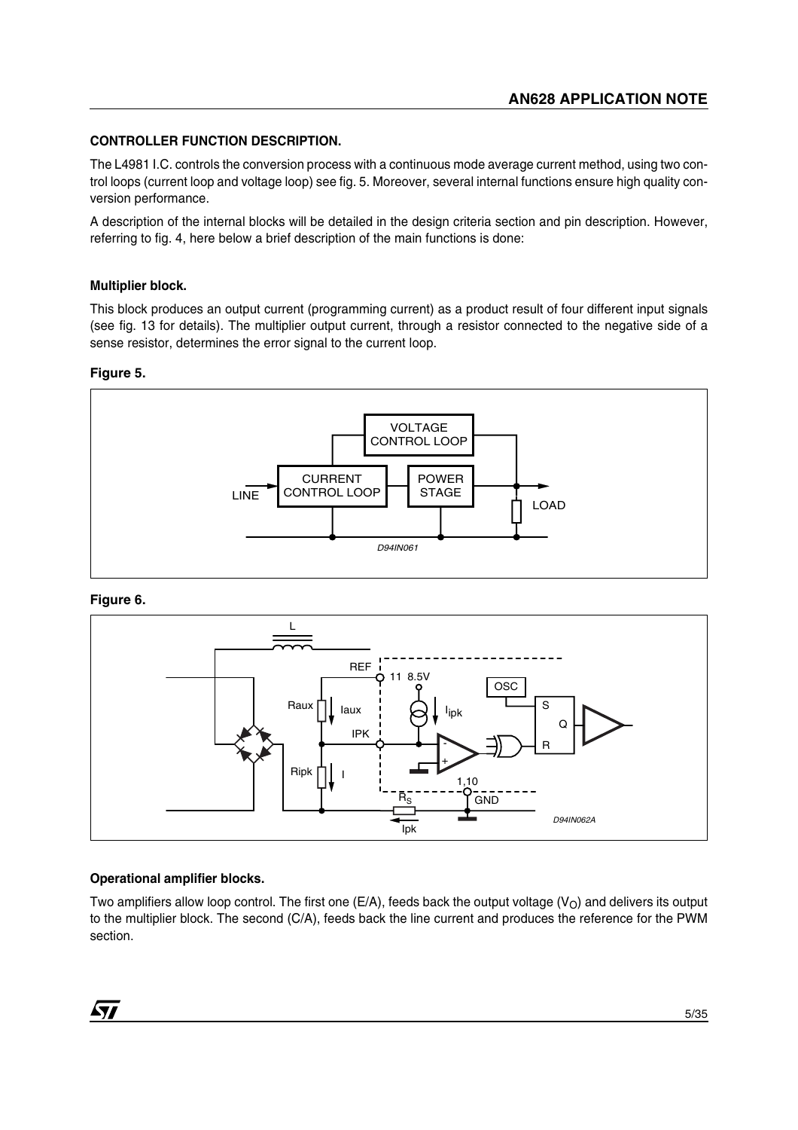### **CONTROLLER FUNCTION DESCRIPTION.**

The L4981 I.C. controls the conversion process with a continuous mode average current method, using two control loops (current loop and voltage loop) see fig. 5. Moreover, several internal functions ensure high quality conversion performance.

A description of the internal blocks will be detailed in the design criteria section and pin description. However, referring to fig. 4, here below a brief description of the main functions is done:

#### **Multiplier block.**

This block produces an output current (programming current) as a product result of four different input signals (see fig. 13 for details). The multiplier output current, through a resistor connected to the negative side of a sense resistor, determines the error signal to the current loop.

#### **Figure 5.**



#### **Figure 6.**



### **Operational amplifier blocks.**

Two amplifiers allow loop control. The first one (E/A), feeds back the output voltage ( $V_O$ ) and delivers its output to the multiplier block. The second (C/A), feeds back the line current and produces the reference for the PWM section.

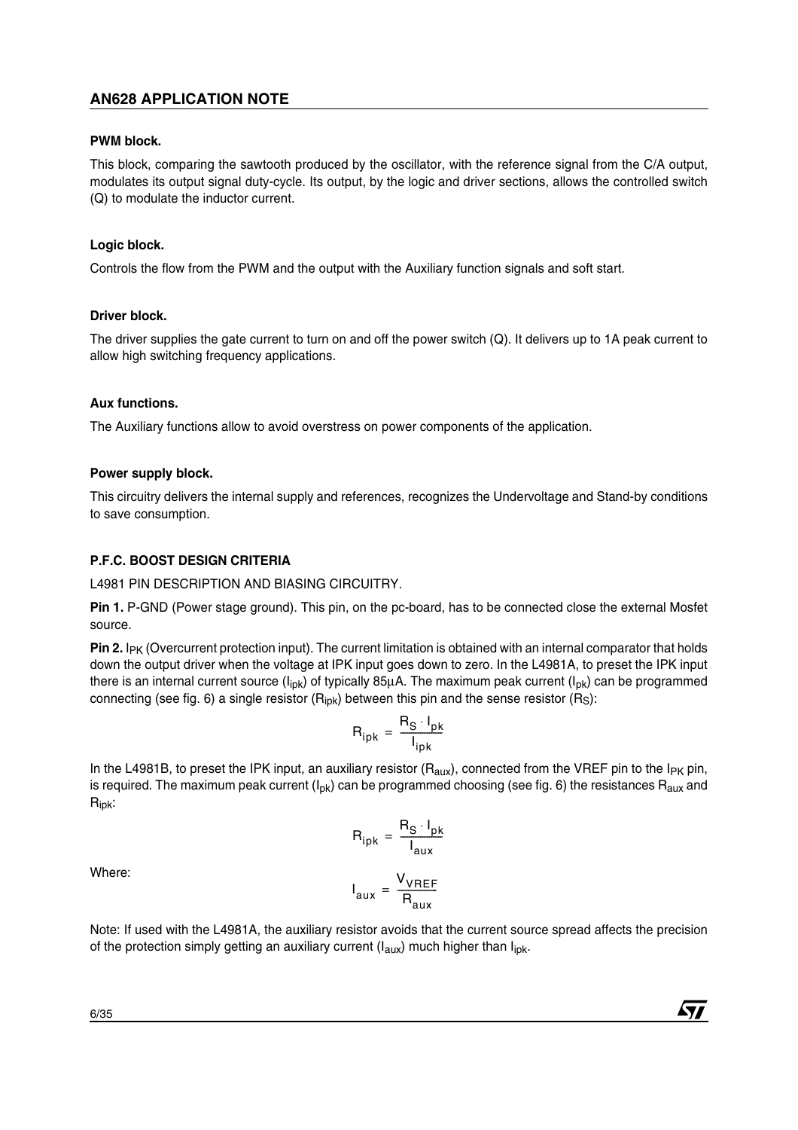### **PWM block.**

This block, comparing the sawtooth produced by the oscillator, with the reference signal from the C/A output, modulates its output signal duty-cycle. Its output, by the logic and driver sections, allows the controlled switch (Q) to modulate the inductor current.

### **Logic block.**

Controls the flow from the PWM and the output with the Auxiliary function signals and soft start.

### **Driver block.**

The driver supplies the gate current to turn on and off the power switch (Q). It delivers up to 1A peak current to allow high switching frequency applications.

### **Aux functions.**

The Auxiliary functions allow to avoid overstress on power components of the application.

### **Power supply block.**

This circuitry delivers the internal supply and references, recognizes the Undervoltage and Stand-by conditions to save consumption.

# **P.F.C. BOOST DESIGN CRITERIA**

L4981 PIN DESCRIPTION AND BIASING CIRCUITRY.

**Pin 1.** P-GND (Power stage ground). This pin, on the pc-board, has to be connected close the external Mosfet source.

**Pin 2.** I<sub>PK</sub> (Overcurrent protection input). The current limitation is obtained with an internal comparator that holds down the output driver when the voltage at IPK input goes down to zero. In the L4981A, to preset the IPK input there is an internal current source  $(I_{ipk})$  of typically 85µA. The maximum peak current  $(I_{pk})$  can be programmed connecting (see fig. 6) a single resistor  $(R_{ipk})$  between this pin and the sense resistor  $(R<sub>S</sub>)$ :

$$
R_{ipk} = \frac{R_S \cdot I_{pk}}{I_{ipk}}
$$

In the L4981B, to preset the IPK input, an auxiliary resistor ( $R_{\text{aux}}$ ), connected from the VREF pin to the I<sub>PK</sub> pin, is required. The maximum peak current ( $I_{\text{DK}}$ ) can be programmed choosing (see fig. 6) the resistances  $R_{\text{aux}}$  and Ripk:

$$
R_{ipk} = \frac{R_S \cdot I_{pk}}{I_{aux}}
$$

V<sub>VREF</sub>  $=$   $\frac{VHEF}{R_{\text{aux}}}$ 

Where:

Note: If used with the L4981A, the auxiliary resistor avoids that the current source spread affects the precision of the protection simply getting an auxiliary current  $(I_{\text{aux}})$  much higher than  $I_{\text{ink}}$ .

I aux

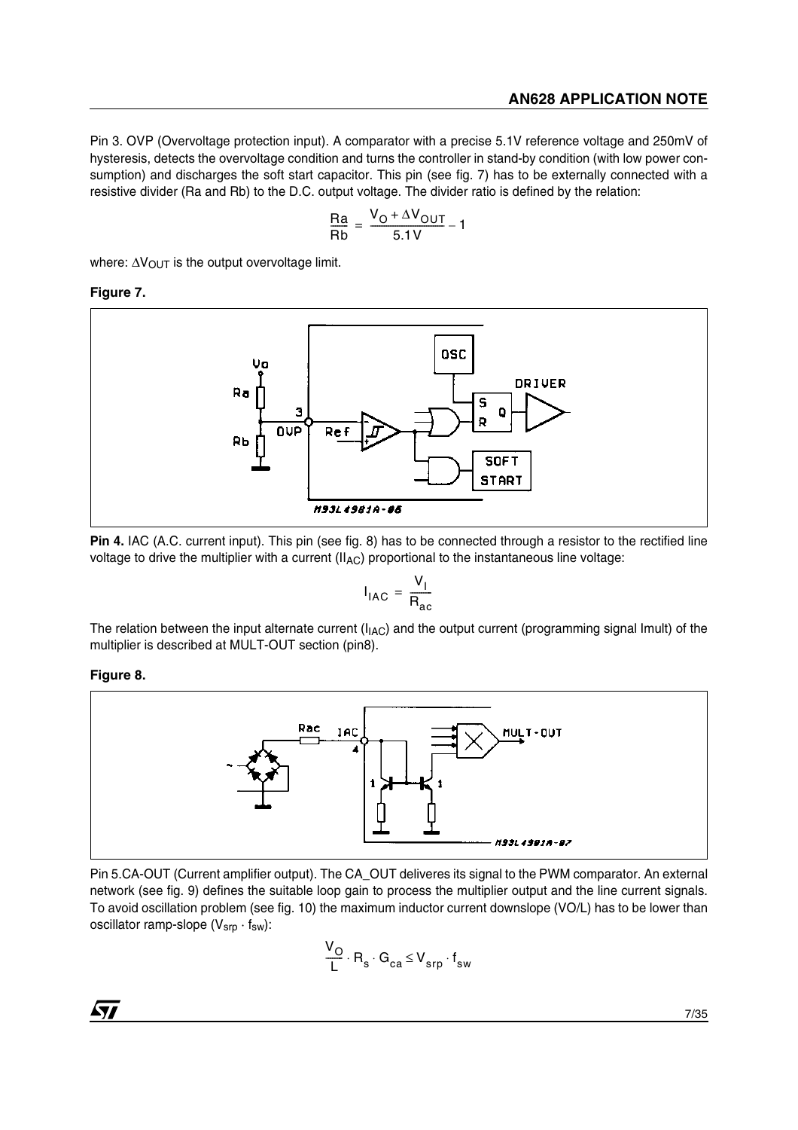Pin 3. OVP (Overvoltage protection input). A comparator with a precise 5.1V reference voltage and 250mV of hysteresis, detects the overvoltage condition and turns the controller in stand-by condition (with low power consumption) and discharges the soft start capacitor. This pin (see fig. 7) has to be externally connected with a resistive divider (Ra and Rb) to the D.C. output voltage. The divider ratio is defined by the relation:

$$
\frac{\text{Ra}}{\text{Rb}} = \frac{\text{V}_0 + \Delta \text{V}_{OUT}}{5.1 \text{V}} - 1
$$

where: ΔV<sub>OUT</sub> is the output overvoltage limit.

# **Figure 7.**



**Pin 4.** IAC (A.C. current input). This pin (see fig. 8) has to be connected through a resistor to the rectified line voltage to drive the multiplier with a current  $(II_{AC})$  proportional to the instantaneous line voltage:

$$
I_{\text{IAC}} = \frac{V_{\text{I}}}{R_{\text{ac}}}
$$

The relation between the input alternate current ( $I_{IAC}$ ) and the output current (programming signal Imult) of the multiplier is described at MULT-OUT section (pin8).

### **Figure 8.**



Pin 5.CA-OUT (Current amplifier output). The CA\_OUT deliveres its signal to the PWM comparator. An external network (see fig. 9) defines the suitable loop gain to process the multiplier output and the line current signals. To avoid oscillation problem (see fig. 10) the maximum inductor current downslope (VO/L) has to be lower than oscillator ramp-slope  $(V_{srp} \cdot f_{sw})$ :

$$
\frac{V_O}{L} \cdot R_s \cdot G_{ca} \leq V_{srp} \cdot f_{sw}
$$

 $\sqrt{1}$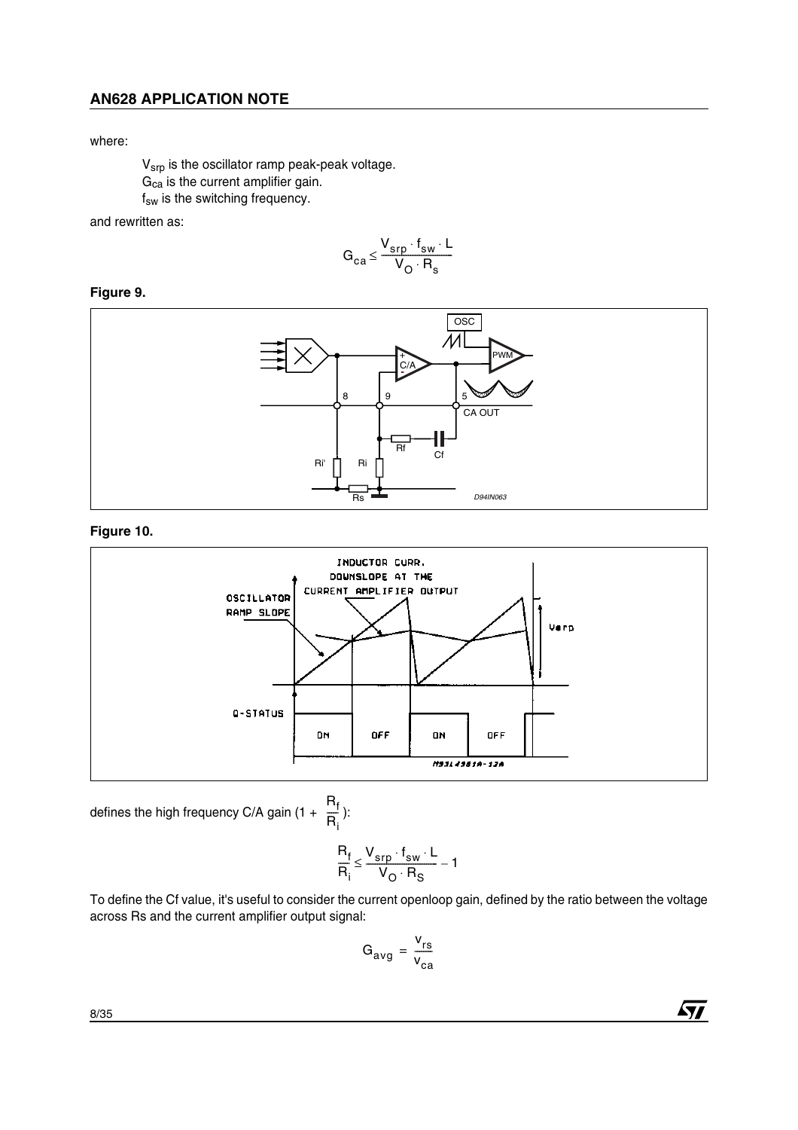#### where:

Vsrp is the oscillator ramp peak-peak voltage.  $G_{ca}$  is the current amplifier gain. f<sub>sw</sub> is the switching frequency.

and rewritten as:

$$
G_{ca} \leq \frac{V_{srp} \cdot f_{sw} \cdot L}{V_O \cdot R_s}
$$

# **Figure 9.**



### **Figure 10.**



defines the high frequency C/A gain (1 +  $\frac{R_f}{D}$ ):  $\overline{\overline{R}}_i$ 

$$
\frac{R_f}{R_i} \leq \frac{V_{srp} \cdot f_{sw} \cdot L}{V_O \cdot R_S} - 1
$$

To define the Cf value, it's useful to consider the current openloop gain, defined by the ratio between the voltage across Rs and the current amplifier output signal:

$$
G_{avg} = \frac{v_{rs}}{v_{ca}}
$$

8/35

 $\sqrt{27}$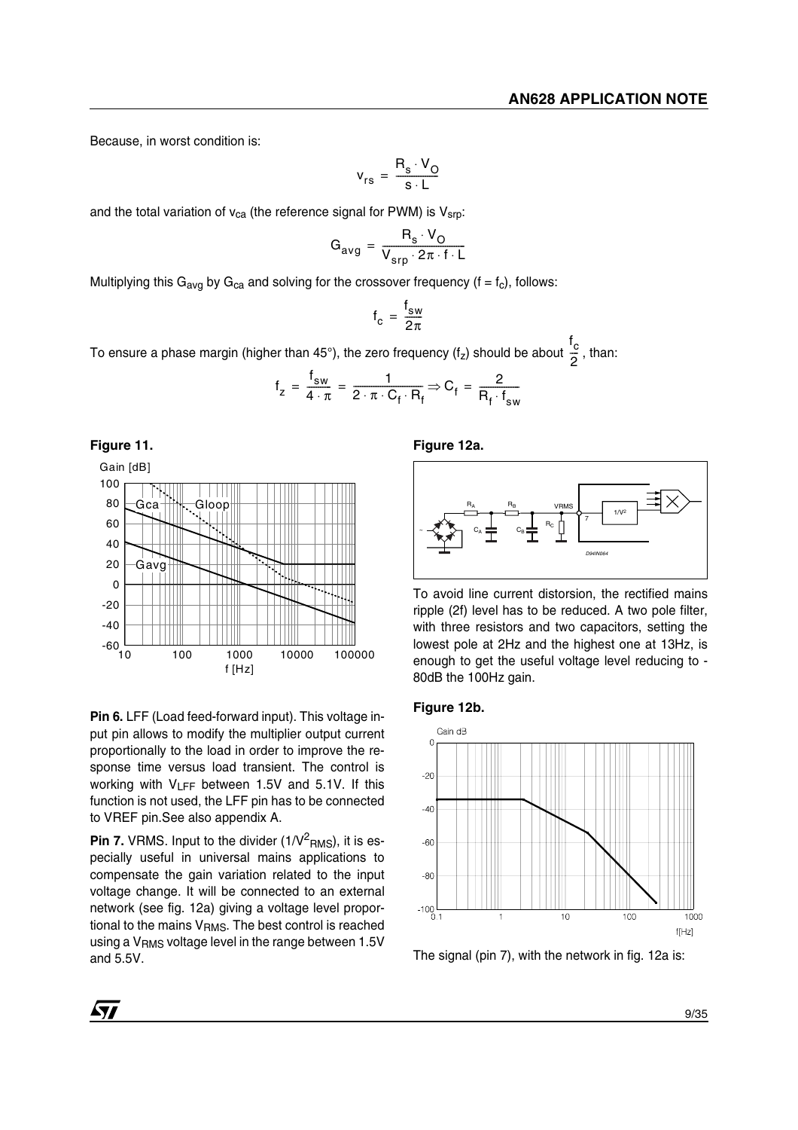Because, in worst condition is:

$$
v_{rs} = \frac{R_s \cdot V_O}{s \cdot L}
$$

and the total variation of  $v_{ca}$  (the reference signal for PWM) is  $V_{srp}$ :

$$
G_{avg} = \frac{R_s \cdot V_O}{V_{srp} \cdot 2\pi \cdot f \cdot L}
$$

Multiplying this G<sub>avg</sub> by G<sub>ca</sub> and solving for the crossover frequency (f = f<sub>c</sub>), follows:

$$
f_c = \frac{f_{sw}}{2\pi}
$$

To ensure a phase margin (higher than 45°), the zero frequency (f<sub>z</sub>) should be about  $\frac{\omega}{\gamma}$  , than: f c  $\frac{c}{2}$ 

$$
f_z = \frac{f_{sw}}{4 \cdot \pi} = \frac{1}{2 \cdot \pi \cdot C_f \cdot R_f} \Rightarrow C_f = \frac{2}{R_f \cdot f_{sw}}
$$



**Pin 6.** LFF (Load feed-forward input). This voltage input pin allows to modify the multiplier output current proportionally to the load in order to improve the response time versus load transient. The control is working with  $V_{LFF}$  between 1.5V and 5.1V. If this function is not used, the LFF pin has to be connected to VREF pin.See also appendix A.

**Pin 7.** VRMS. Input to the divider (1/V $^2$ <sub>RMS</sub>), it is especially useful in universal mains applications to compensate the gain variation related to the input voltage change. It will be connected to an external network (see fig. 12a) giving a voltage level proportional to the mains  $V<sub>RMS</sub>$ . The best control is reached using a V<sub>RMS</sub> voltage level in the range between 1.5V and 5.5V.

**Figure 12a.** 



To avoid line current distorsion, the rectified mains ripple (2f) level has to be reduced. A two pole filter, with three resistors and two capacitors, setting the lowest pole at 2Hz and the highest one at 13Hz, is enough to get the useful voltage level reducing to - 80dB the 100Hz gain.





The signal (pin 7), with the network in fig. 12a is:

**Ayy**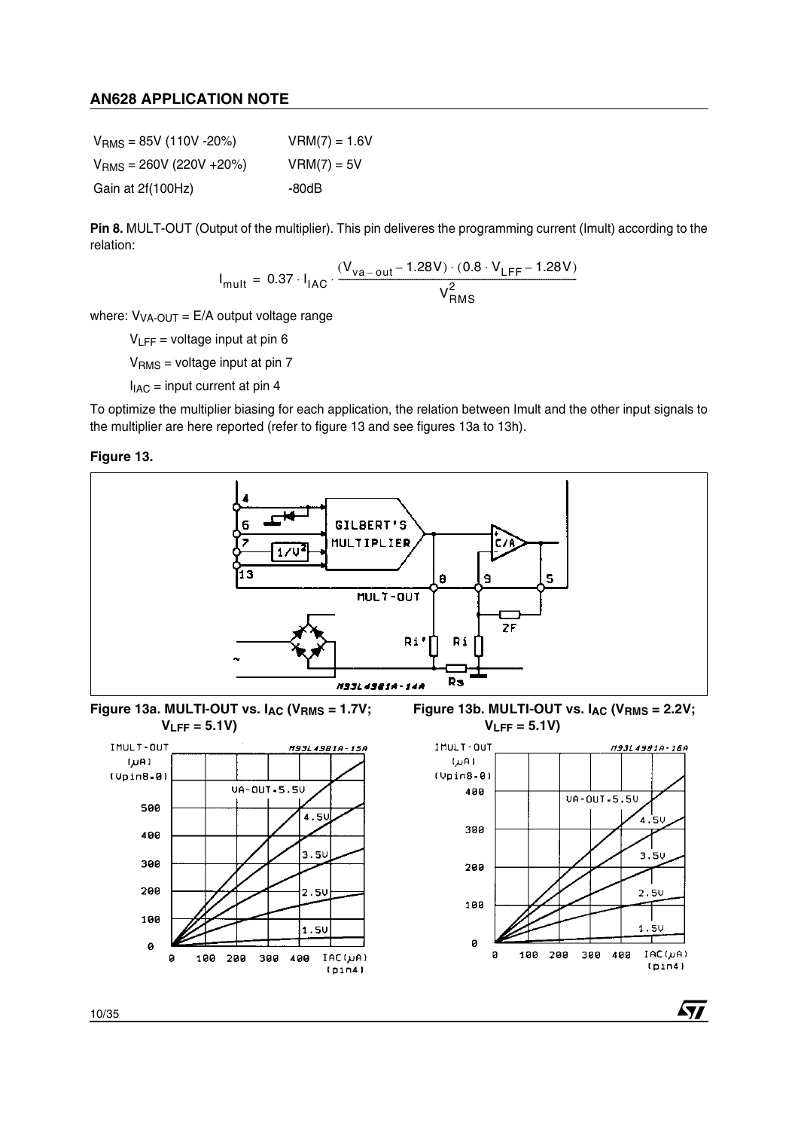| $VRMS = 85V (110V - 20%)$  | $VRM(7) = 1.6V$ |
|----------------------------|-----------------|
| $VRMS = 260V (220V + 20%)$ | $VRM(7) = 5V$   |
| Gain at 2f(100Hz)          | -80dB           |

**Pin 8.** MULT-OUT (Output of the multiplier). This pin deliveres the programming current (Imult) according to the relation:

$$
I_{mult} = 0.37 \cdot I_{IAC} \cdot \frac{(V_{va-out} - 1.28V) \cdot (0.8 \cdot V_{LFF} - 1.28V)}{V_{RMS}^2}
$$

where:  $V_{VA-OUT} = E/A$  output voltage range

 $V_{LFF}$  = voltage input at pin 6

 $V<sub>RMS</sub>$  = voltage input at pin 7

 $I_{IAC}$  = input current at pin 4

To optimize the multiplier biasing for each application, the relation between Imult and the other input signals to the multiplier are here reported (refer to figure 13 and see figures 13a to 13h).

**Figure 13.** 



10/35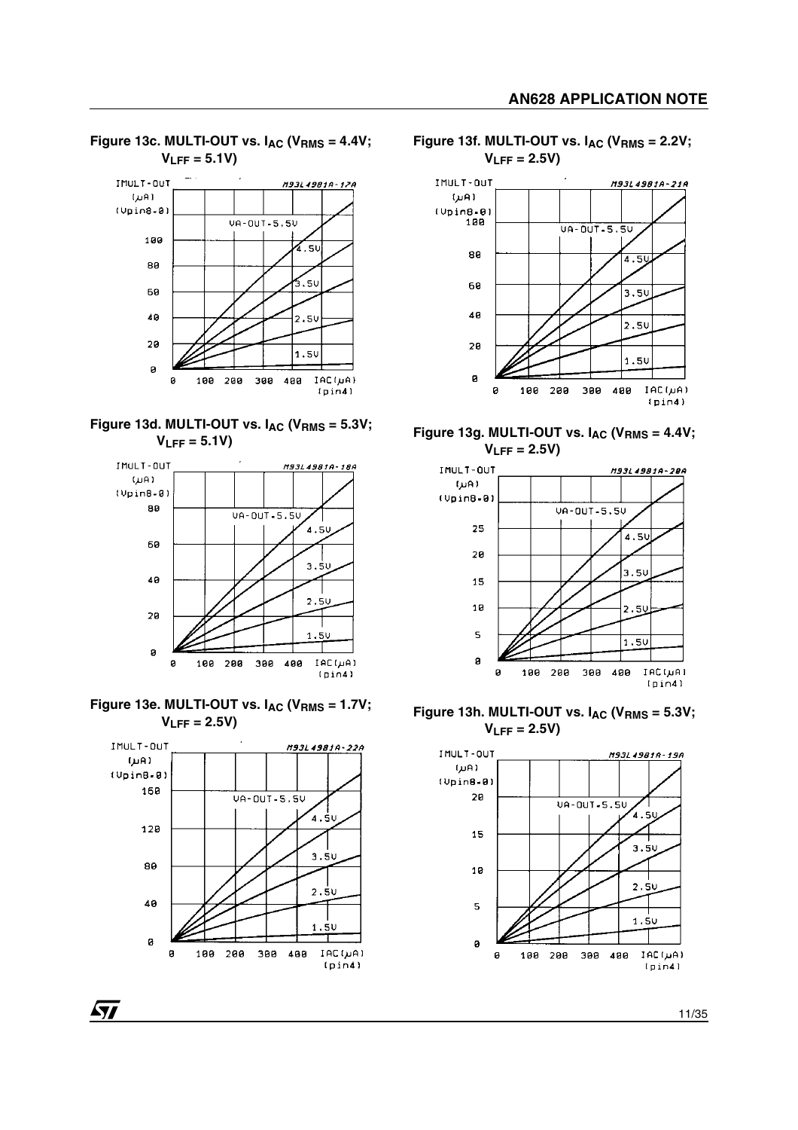

**Figure 13c. MULTI-OUT vs. IAC (VRMS = 4.4V;** 





Figure 13e. MULTI-OUT vs. I<sub>AC</sub> (V<sub>RMS</sub> = 1.7V; **VLFF = 2.5V)**



57





**Figure 13g. MULTI-OUT vs. IAC (VRMS = 4.4V; VLFF = 2.5V)**



**Figure 13h. MULTI-OUT vs. IAC (VRMS = 5.3V; VLFF = 2.5V)**

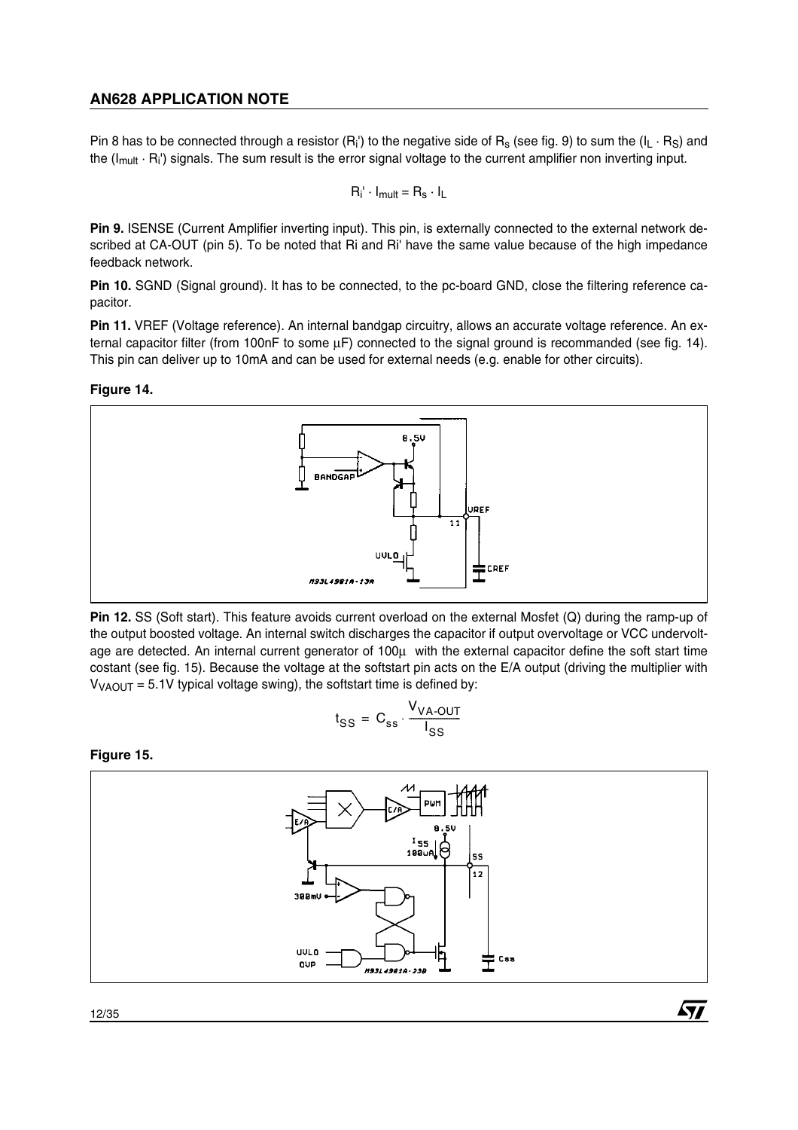Pin 8 has to be connected through a resistor  $(R_i')$  to the negative side of  $R_s$  (see fig. 9) to sum the  $(I_L \cdot R_S)$  and the  $(I_{mult} \cdot R_i)$  signals. The sum result is the error signal voltage to the current amplifier non inverting input.

$$
R_i' \cdot I_{mult} = R_s \cdot I_L
$$

**Pin 9.** ISENSE (Current Amplifier inverting input). This pin, is externally connected to the external network described at CA-OUT (pin 5). To be noted that Ri and Ri' have the same value because of the high impedance feedback network.

**Pin 10.** SGND (Signal ground). It has to be connected, to the pc-board GND, close the filtering reference capacitor.

**Pin 11.** VREF (Voltage reference). An internal bandgap circuitry, allows an accurate voltage reference. An external capacitor filter (from 100nF to some  $\mu$ F) connected to the signal ground is recommanded (see fig. 14). This pin can deliver up to 10mA and can be used for external needs (e.g. enable for other circuits).

### **Figure 14.**



**Pin 12.** SS (Soft start). This feature avoids current overload on the external Mosfet (Q) during the ramp-up of the output boosted voltage. An internal switch discharges the capacitor if output overvoltage or VCC undervoltage are detected. An internal current generator of 100µ with the external capacitor define the soft start time costant (see fig. 15). Because the voltage at the softstart pin acts on the E/A output (driving the multiplier with  $V_{\text{VAOUT}} = 5.1V$  typical voltage swing), the softstart time is defined by:

$$
t_{SS} = C_{ss} \cdot \frac{V_{VA-OUT}}{I_{SS}}
$$

**Figure 15.** 



*ST*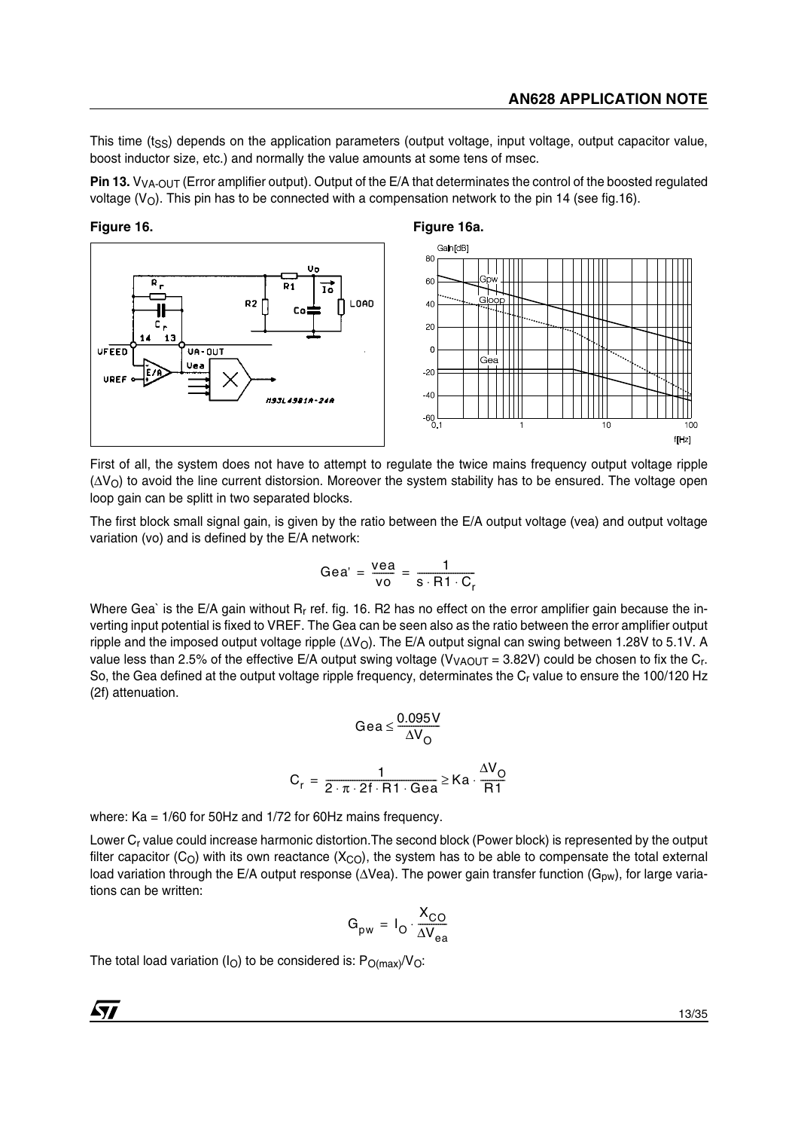This time  $(t_{\rm SS})$  depends on the application parameters (output voltage, input voltage, output capacitor value, boost inductor size, etc.) and normally the value amounts at some tens of msec.

**Pin 13.** V<sub>VA-OUT</sub> (Error amplifier output). Output of the E/A that determinates the control of the boosted regulated voltage ( $V_O$ ). This pin has to be connected with a compensation network to the pin 14 (see fig.16).





First of all, the system does not have to attempt to regulate the twice mains frequency output voltage ripple (ΔV<sub>O</sub>) to avoid the line current distorsion. Moreover the system stability has to be ensured. The voltage open loop gain can be splitt in two separated blocks.

The first block small signal gain, is given by the ratio between the E/A output voltage (vea) and output voltage variation (vo) and is defined by the E/A network:

$$
Gea' = \frac{vea}{vo} = \frac{1}{s \cdot R1 \cdot C_r}
$$

Where Gea` is the E/A gain without  $R_r$  ref. fig. 16. R2 has no effect on the error amplifier gain because the inverting input potential is fixed to VREF. The Gea can be seen also as the ratio between the error amplifier output ripple and the imposed output voltage ripple (∆V<sub>O</sub>). The E/A output signal can swing between 1.28V to 5.1V. A value less than 2.5% of the effective E/A output swing voltage ( $V_{VACUIT}$  = 3.82V) could be chosen to fix the C<sub>r</sub>. So, the Gea defined at the output voltage ripple frequency, determinates the C<sub>r</sub> value to ensure the 100/120 Hz (2f) attenuation.

$$
\text{Gea} \le \frac{0.095 \text{V}}{\Delta \text{V}_{\text{O}}}
$$
\n
$$
\text{C}_{\text{r}} = \frac{1}{2 \cdot \pi \cdot 2 \text{f} \cdot \text{R1} \cdot \text{Gea}} \ge \text{Ka} \cdot \frac{\Delta \text{V}_{\text{O}}}{\text{R1}}
$$

where: Ka = 1/60 for 50Hz and 1/72 for 60Hz mains frequency.

Lower C<sub>r</sub> value could increase harmonic distortion. The second block (Power block) is represented by the output filter capacitor (C<sub>O</sub>) with its own reactance (X<sub>CO</sub>), the system has to be able to compensate the total external load variation through the E/A output response (∆Vea). The power gain transfer function (G<sub>pw</sub>), for large variations can be written:

$$
G_{\text{pw}} = I_{\text{O}} \cdot \frac{X_{\text{CO}}}{\Delta V_{\text{ea}}}
$$

The total load variation (I<sub>O</sub>) to be considered is:  $P_{O(max)}/V_{O}$ :

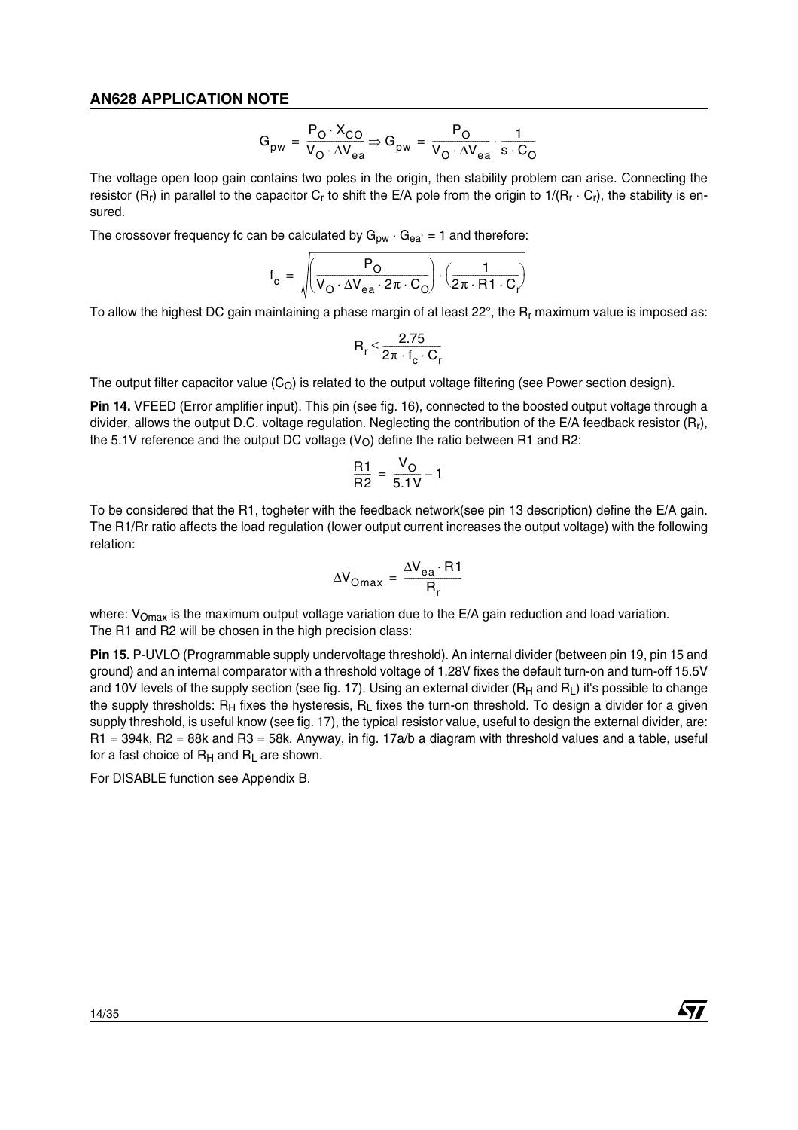$$
G_{pw} = \frac{P_O \cdot X_{CO}}{V_O \cdot \Delta V_{ea}} \Rightarrow G_{pw} = \frac{P_O}{V_O \cdot \Delta V_{ea}} \cdot \frac{1}{s \cdot C_O}
$$

The voltage open loop gain contains two poles in the origin, then stability problem can arise. Connecting the resistor  $(R_r)$  in parallel to the capacitor  $C_r$  to shift the E/A pole from the origin to  $1/(R_r \cdot C_r)$ , the stability is ensured.

The crossover frequency fc can be calculated by  $G_{pw} \cdot G_{ea} = 1$  and therefore:

$$
f_{c} = \sqrt{\left(\frac{P_{O}}{V_{O} \cdot \Delta V_{ea} \cdot 2\pi \cdot C_{O}}\right) \cdot \left(\frac{1}{2\pi \cdot R1 \cdot C_{r}}\right)}
$$

To allow the highest DC gain maintaining a phase margin of at least  $22^{\circ}$ , the R<sub>r</sub> maximum value is imposed as:

$$
R_r \leq \frac{2.75}{2\pi \cdot f_c \cdot C_r}
$$

The output filter capacitor value  $(C<sub>O</sub>)$  is related to the output voltage filtering (see Power section design).

**Pin 14.** VFEED (Error amplifier input). This pin (see fig. 16), connected to the boosted output voltage through a divider, allows the output D.C. voltage regulation. Neglecting the contribution of the E/A feedback resistor  $(R<sub>1</sub>)$ , the 5.1V reference and the output DC voltage  $(V<sub>O</sub>)$  define the ratio between R1 and R2:

$$
\frac{R1}{R2} = \frac{V_O}{5.1V} - 1
$$

To be considered that the R1, togheter with the feedback network(see pin 13 description) define the E/A gain. The R1/Rr ratio affects the load regulation (lower output current increases the output voltage) with the following relation:

$$
\Delta V_{\text{Omax}} = \frac{\Delta V_{\text{ea}} \cdot \text{R1}}{R_r}
$$

where:  $V_{Omax}$  is the maximum output voltage variation due to the E/A gain reduction and load variation. The R1 and R2 will be chosen in the high precision class:

**Pin 15.** P-UVLO (Programmable supply undervoltage threshold). An internal divider (between pin 19, pin 15 and ground) and an internal comparator with a threshold voltage of 1.28V fixes the default turn-on and turn-off 15.5V and 10V levels of the supply section (see fig. 17). Using an external divider  $(R_H$  and  $R_I$ ) it's possible to change the supply thresholds: R<sub>H</sub> fixes the hysteresis, R<sub>L</sub> fixes the turn-on threshold. To design a divider for a given supply threshold, is useful know (see fig. 17), the typical resistor value, useful to design the external divider, are: R1 = 394k, R2 = 88k and R3 = 58k. Anyway, in fig. 17a/b a diagram with threshold values and a table, useful for a fast choice of  $R_H$  and  $R_L$  are shown.

57

For DISABLE function see Appendix B.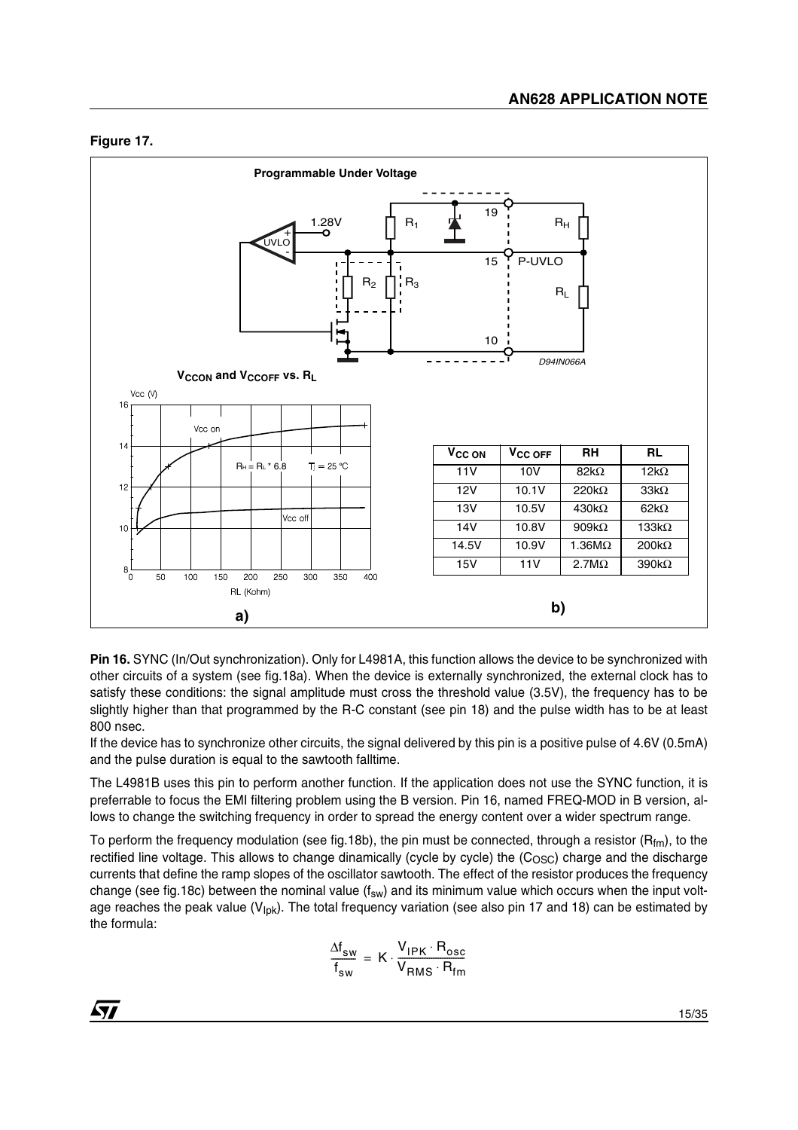# **Figure 17.**



**Pin 16.** SYNC (In/Out synchronization). Only for L4981A, this function allows the device to be synchronized with other circuits of a system (see fig.18a). When the device is externally synchronized, the external clock has to satisfy these conditions: the signal amplitude must cross the threshold value (3.5V), the frequency has to be slightly higher than that programmed by the R-C constant (see pin 18) and the pulse width has to be at least 800 nsec.

If the device has to synchronize other circuits, the signal delivered by this pin is a positive pulse of 4.6V (0.5mA) and the pulse duration is equal to the sawtooth falltime.

The L4981B uses this pin to perform another function. If the application does not use the SYNC function, it is preferrable to focus the EMI filtering problem using the B version. Pin 16, named FREQ-MOD in B version, allows to change the switching frequency in order to spread the energy content over a wider spectrum range.

To perform the frequency modulation (see fig.18b), the pin must be connected, through a resistor ( $R_{fm}$ ), to the rectified line voltage. This allows to change dinamically (cycle by cycle) the (C<sub>OSC</sub>) charge and the discharge currents that define the ramp slopes of the oscillator sawtooth. The effect of the resistor produces the frequency change (see fig.18c) between the nominal value ( $f_{sw}$ ) and its minimum value which occurs when the input voltage reaches the peak value ( $V_{\text{lbk}}$ ). The total frequency variation (see also pin 17 and 18) can be estimated by the formula:

$$
\frac{\Delta f_{sw}}{f_{sw}} = K \cdot \frac{V_{IPK} \cdot R_{osc}}{V_{RMS} \cdot R_{fm}}
$$

 $\sqrt{1}$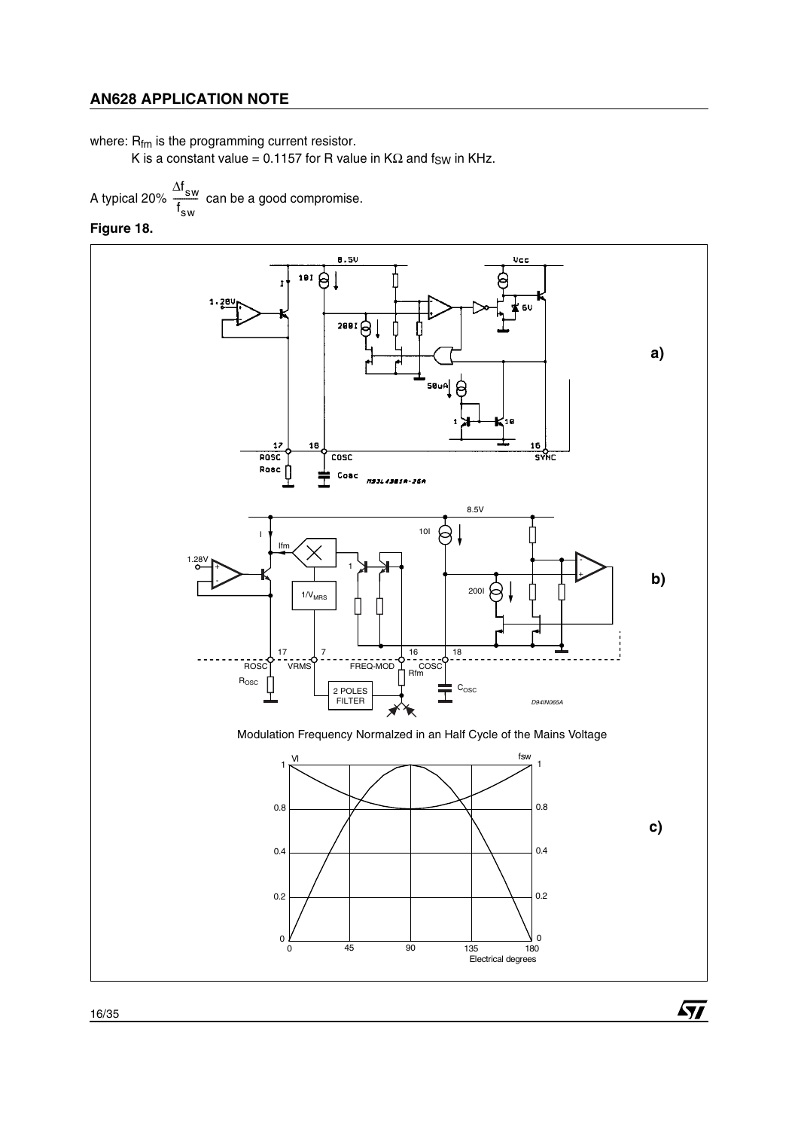where: R<sub>fm</sub> is the programming current resistor.

K is a constant value = 0.1157 for R value in  $K\Omega$  and fsw in KHz.

A typical 20%  $\frac{300}{100}$  can be a good compromise.  $\Delta \boldsymbol{\mathsf{f}}_{_{\mathbf{SW}}}$ f sw  $\frac{5w}{4}$ 

**Figure 18.** 



 $\sqrt{11}$ 

16/35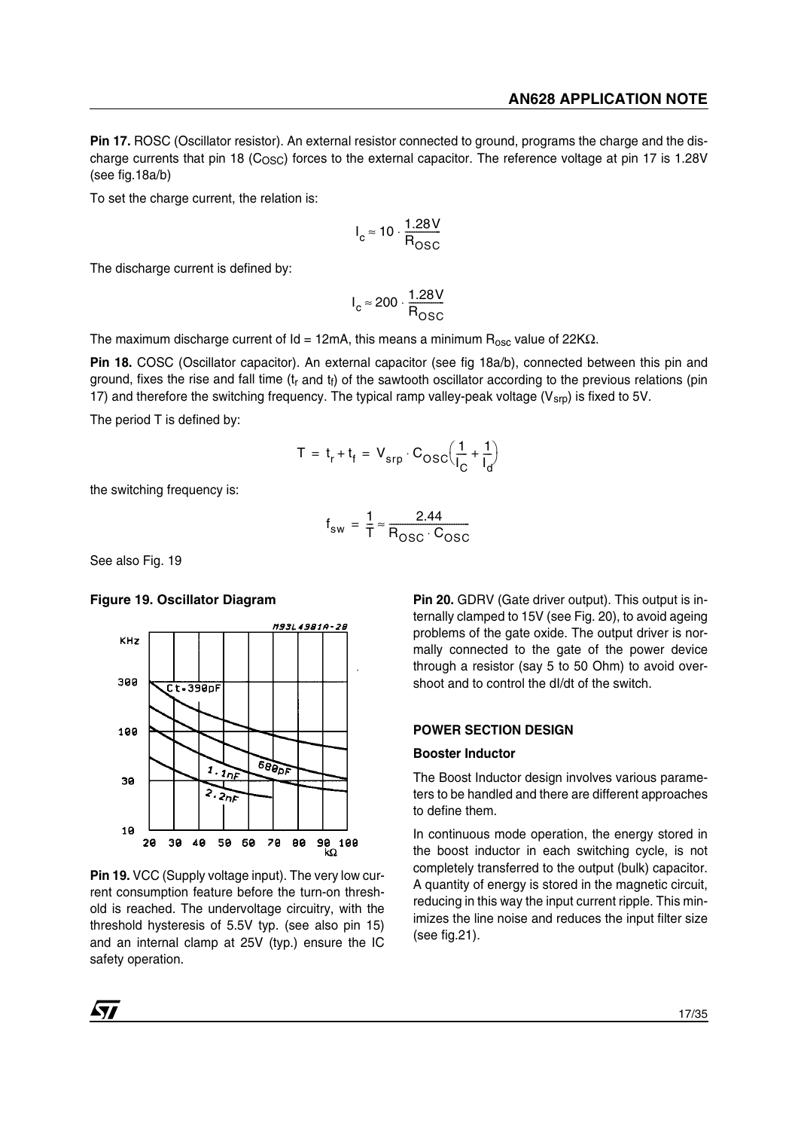**Pin 17.** ROSC (Oscillator resistor). An external resistor connected to ground, programs the charge and the discharge currents that pin 18 (C<sub>OSC</sub>) forces to the external capacitor. The reference voltage at pin 17 is 1.28V (see fig.18a/b)

To set the charge current, the relation is:

$$
I_c \approx 10 \cdot \frac{1.28V}{R_{OSC}}
$$

The discharge current is defined by:

$$
I_c \approx 200 \cdot \frac{1.28V}{R_{\text{OSC}}}
$$

The maximum discharge current of  $Id = 12mA$ , this means a minimum  $R_{osc}$  value of 22K $\Omega$ .

**Pin 18.** COSC (Oscillator capacitor). An external capacitor (see fig 18a/b), connected between this pin and ground, fixes the rise and fall time  $(t_r$  and  $t_f$ ) of the sawtooth oscillator according to the previous relations (pin 17) and therefore the switching frequency. The typical ramp valley-peak voltage ( $V_{\rm srb}$ ) is fixed to 5V.

The period T is defined by:

$$
T = t_r + t_f = V_{srp} \cdot C_{OSC} \left(\frac{1}{I_C} + \frac{1}{I_d}\right)
$$

the switching frequency is:

$$
f_{sw} = \frac{1}{T} \approx \frac{2.44}{R_{OSC} \cdot C_{OSC}}
$$

See also Fig. 19

#### **Figure 19. Oscillator Diagram**



**Pin 19.** VCC (Supply voltage input). The very low current consumption feature before the turn-on threshold is reached. The undervoltage circuitry, with the threshold hysteresis of 5.5V typ. (see also pin 15) and an internal clamp at 25V (typ.) ensure the IC safety operation.

**Pin 20.** GDRV (Gate driver output). This output is internally clamped to 15V (see Fig. 20), to avoid ageing problems of the gate oxide. The output driver is normally connected to the gate of the power device through a resistor (say 5 to 50 Ohm) to avoid overshoot and to control the dI/dt of the switch.

### **POWER SECTION DESIGN**

#### **Booster Inductor**

The Boost Inductor design involves various parameters to be handled and there are different approaches to define them.

In continuous mode operation, the energy stored in the boost inductor in each switching cycle, is not completely transferred to the output (bulk) capacitor. A quantity of energy is stored in the magnetic circuit, reducing in this way the input current ripple. This minimizes the line noise and reduces the input filter size (see fig.21).

 $\sqrt{1}$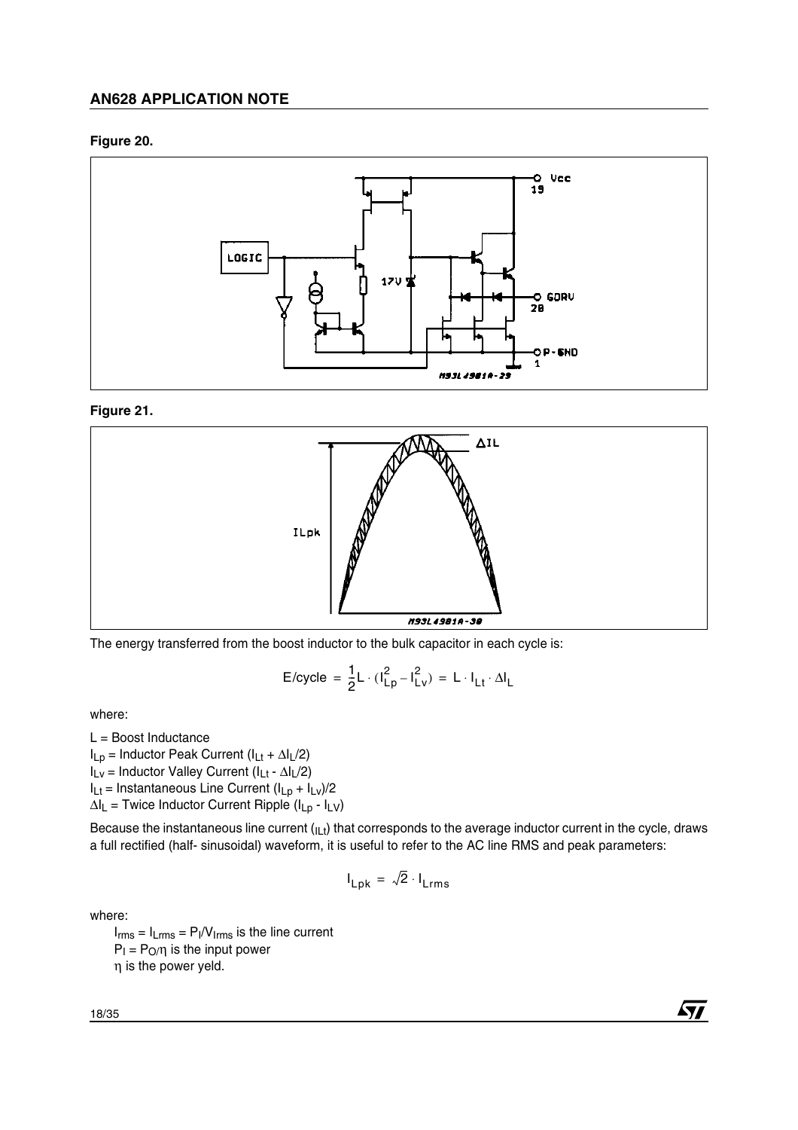# **Figure 20.**



### **Figure 21.**



The energy transferred from the boost inductor to the bulk capacitor in each cycle is:

$$
E/cycle = \frac{1}{2}L \cdot (l_{Lp}^2 - l_{Lv}^2) = L \cdot l_{Lt} \cdot \Delta l_L
$$

where:

 $L =$  Boost Inductance

ILp = Inductor Peak Current (ILt + ∆IL/2)

ILv = Inductor Valley Current (ILt - ∆IL/2)

 $I_{Lt}$  = Instantaneous Line Current  $(I_{Lp} + I_{Lv})/2$ 

 $\Delta I_L$  = Twice Inductor Current Ripple ( $I_{Lp}$  -  $I_{LV}$ )

Because the instantaneous line current (ILt) that corresponds to the average inductor current in the cycle, draws a full rectified (half- sinusoidal) waveform, it is useful to refer to the AC line RMS and peak parameters:

$$
I_{Lpk} = \sqrt{2} \cdot I_{Lrms}
$$

where:

 $I_{rms} = I_{Lrms} = P_I/V_{lrms}$  is the line current  $P_1 = P_0/\eta$  is the input power η is the power yeld.

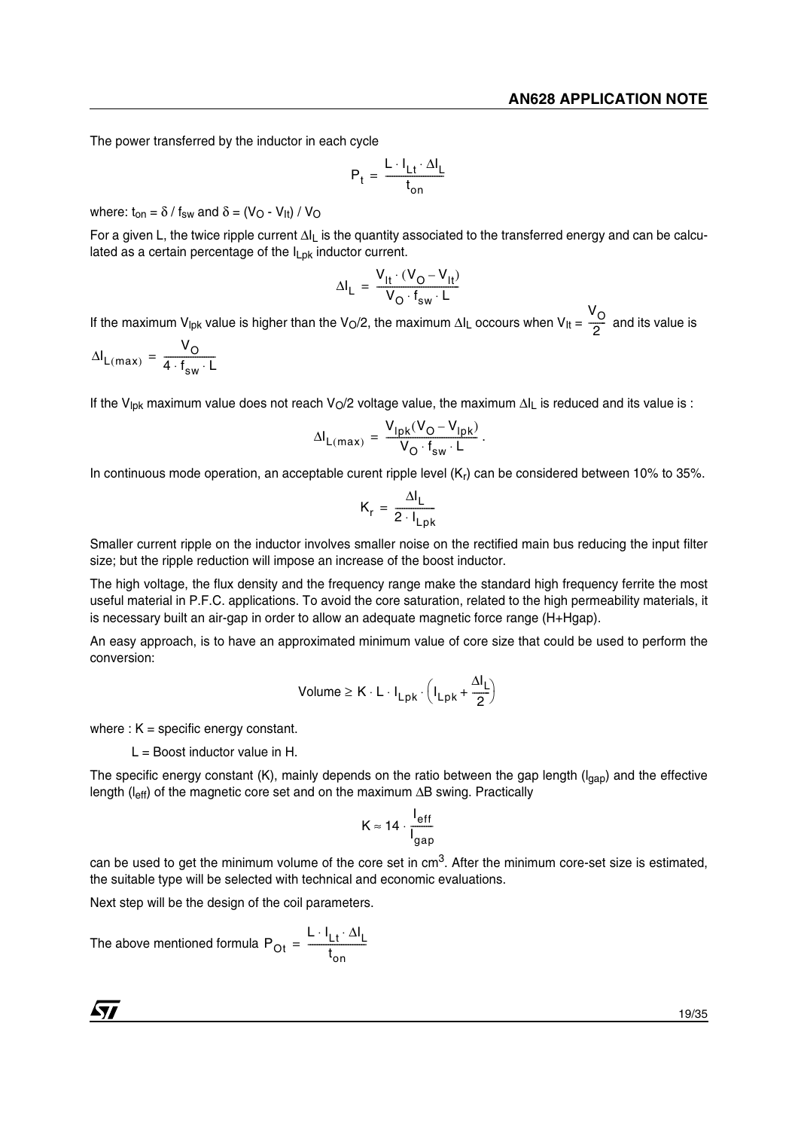The power transferred by the inductor in each cycle

$$
P_t = \frac{L \cdot I_{Lt} \cdot \Delta I_L}{t_{on}}
$$

where:  $t_{on} = \delta / f_{sw}$  and  $\delta = (V_O - V_{lt}) / V_O$ 

For a given L, the twice ripple current ∆I<sub>L</sub> is the quantity associated to the transferred energy and can be calculated as a certain percentage of the  $I_{Lpk}$  inductor current.

$$
\Delta I_{L} = \frac{V_{1t} \cdot (V_{O} - V_{1t})}{V_{O} \cdot f_{sw} \cdot L}
$$

If the maximum V<sub>lpk</sub> value is higher than the V<sub>O</sub>/2, the maximum ∆I<sub>L</sub> occours when V<sub>It</sub> =  $\frac{V_{\rm O}}{2}$  and its value is  $\frac{6}{2}$ 

$$
\Delta I_{L(max)} = \frac{V_O}{4 \cdot f_{sw} \cdot L}
$$

If the V<sub>lpk</sub> maximum value does not reach V<sub>O</sub>/2 voltage value, the maximum ∆I<sub>L</sub> is reduced and its value is :

$$
\Delta I_{L(max)} = \frac{V_{lpk}(V_O - V_{lpk})}{V_O \cdot f_{sw} \cdot L}.
$$

In continuous mode operation, an acceptable curent ripple level  $(K_r)$  can be considered between 10% to 35%.

$$
K_r = \frac{\Delta I_L}{2 \cdot I_{Lpk}}
$$

Smaller current ripple on the inductor involves smaller noise on the rectified main bus reducing the input filter size; but the ripple reduction will impose an increase of the boost inductor.

The high voltage, the flux density and the frequency range make the standard high frequency ferrite the most useful material in P.F.C. applications. To avoid the core saturation, related to the high permeability materials, it is necessary built an air-gap in order to allow an adequate magnetic force range (H+Hgap).

An easy approach, is to have an approximated minimum value of core size that could be used to perform the conversion:

$$
Volume \geq K \cdot L \cdot I_{Lpk} \cdot \left(I_{Lpk} + \frac{\Delta I_L}{2}\right)
$$

where :  $K =$  specific energy constant.

 $L =$  Boost inductor value in H.

The specific energy constant (K), mainly depends on the ratio between the gap length ( $I<sub>can</sub>$ ) and the effective length (leff) of the magnetic core set and on the maximum ∆B swing. Practically

$$
K \approx 14 \cdot \frac{I_{\text{eff}}}{I_{\text{gap}}}
$$

can be used to get the minimum volume of the core set in  $cm<sup>3</sup>$ . After the minimum core-set size is estimated, the suitable type will be selected with technical and economic evaluations.

Next step will be the design of the coil parameters.

The above mentioned formula P<sub>Ot</sub>  $L \cdot I_{\sf L t} \cdot \Delta I_{\sf L}$ t on = <del>------------------------</del>

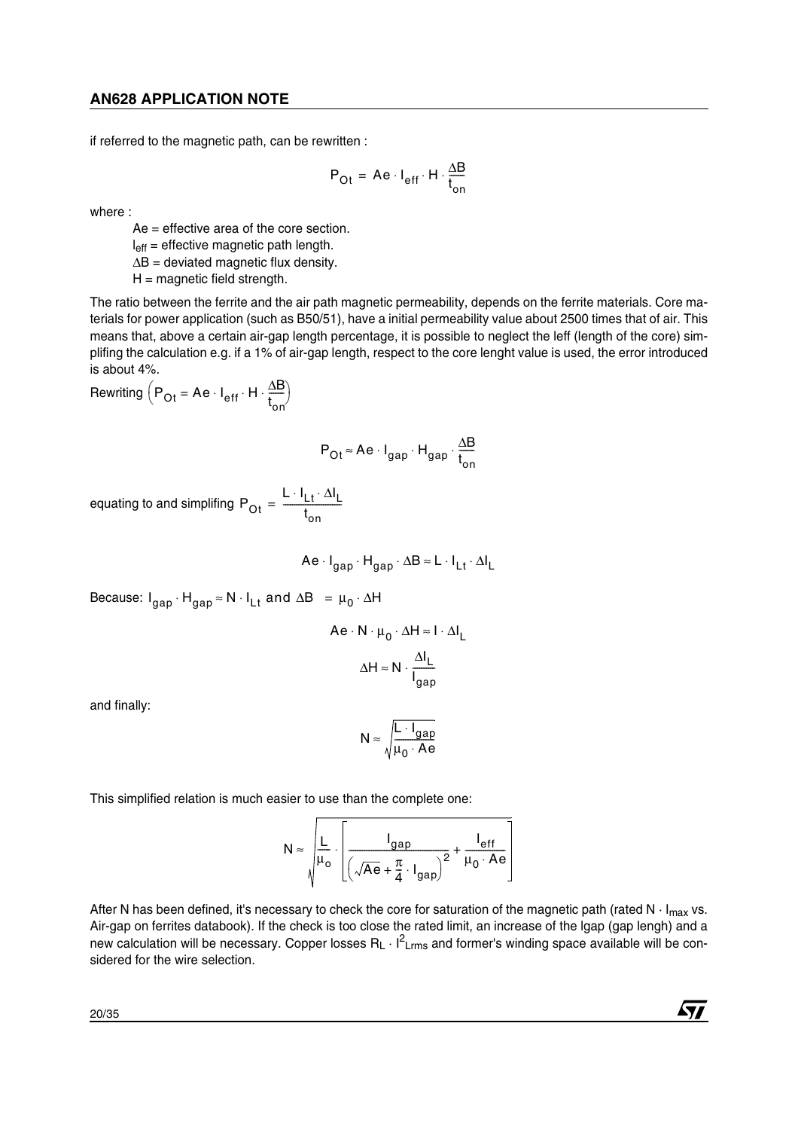if referred to the magnetic path, can be rewritten :

$$
P_{\text{Ot}} = Ae \cdot I_{\text{eff}} \cdot H \cdot \frac{\Delta B}{t_{\text{on}}}
$$

where :

Ae = effective area of the core section.  $I<sub>eff</sub>$  = effective magnetic path length. ∆B = deviated magnetic flux density.  $H =$  magnetic field strength.

The ratio between the ferrite and the air path magnetic permeability, depends on the ferrite materials. Core materials for power application (such as B50/51), have a initial permeability value about 2500 times that of air. This means that, above a certain air-gap length percentage, it is possible to neglect the leff (length of the core) simplifing the calculation e.g. if a 1% of air-gap length, respect to the core lenght value is used, the error introduced is about 4%.

Rewriting  $\left(P_{\text{Ot}} = \text{Ae} \cdot I_{\text{eff}} \cdot H \cdot \frac{\Delta B}{t_{\text{on}}} \right)$ 

$$
P_{Ot} \approx Ae \cdot I_{gap} \cdot H_{gap} \cdot \frac{\Delta B}{t_{on}}
$$

equating to and simplifing P<sub>Ot</sub> L ∙ ا<sub>Lt</sub> ∙ ∆I<sub>L</sub> t on = --------------------------

$$
Ae \cdot I_{gap} \cdot H_{gap} \cdot \Delta B \approx L \cdot I_{Lt} \cdot \Delta I_L
$$

Because: I<sub>gap</sub>  $\cdot$  H<sub>gap</sub> ≈ N  $\cdot$  I<sub>Lt</sub> and ∆B  $\,$  =  $\mu_{0}$   $\cdot$  ∆H

$$
Ae \cdot N \cdot \mu_0 \cdot \Delta H \approx I \cdot \Delta I_L
$$

$$
\Delta H \approx N \cdot \frac{\Delta I_L}{I_{gap}}
$$

and finally:

$$
N \approx \sqrt{\frac{L \cdot I_{gap}}{\mu_0 \cdot Ae}}
$$

This simplified relation is much easier to use than the complete one:

$$
N \approx \sqrt{\frac{L}{\mu_o} \cdot \left[ \frac{I_{gap}}{\left(\sqrt{Ae} + \frac{\pi}{4} \cdot I_{gap}\right)^2} + \frac{I_{eff}}{\mu_o \cdot Ae} \right]}
$$

 $\overline{\phantom{0}}$ 

After N has been defined, it's necessary to check the core for saturation of the magnetic path (rated N  $\cdot$  I<sub>max</sub> vs. Air-gap on ferrites databook). If the check is too close the rated limit, an increase of the lgap (gap lengh) and a new calculation will be necessary. Copper losses  $R_L \cdot I^2_{Lrms}$  and former's winding space available will be considered for the wire selection.

20/35

57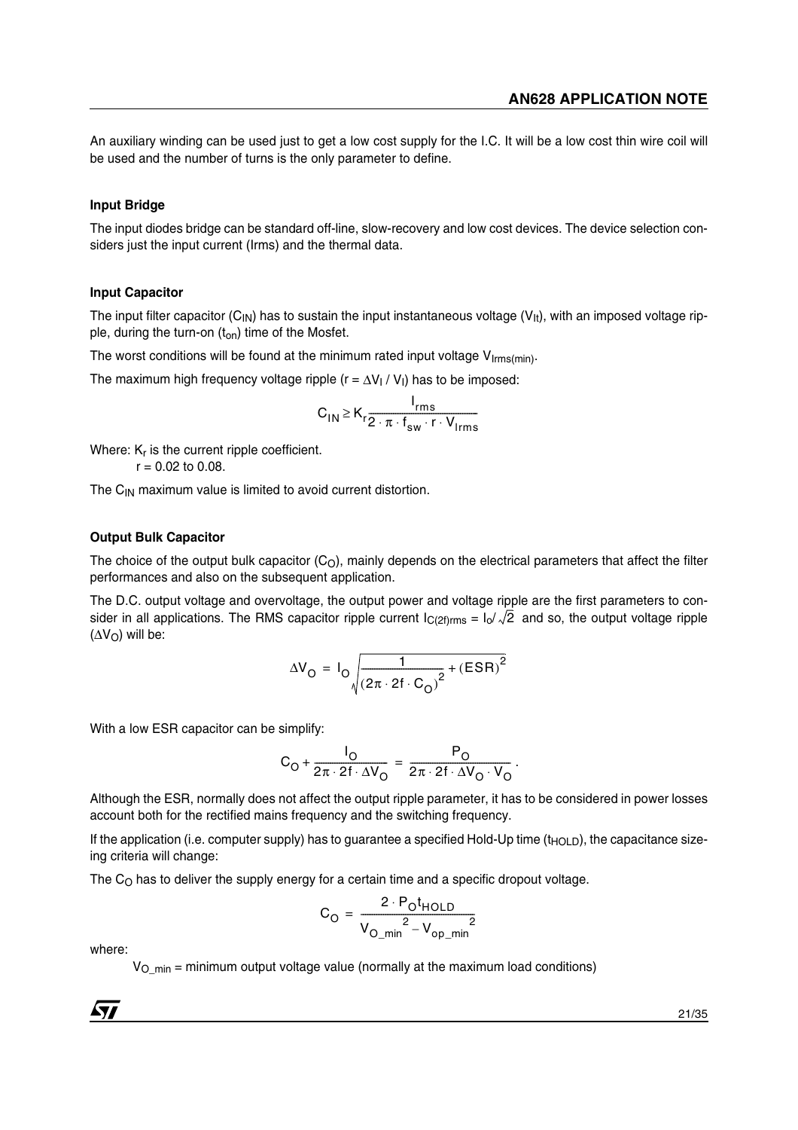An auxiliary winding can be used just to get a low cost supply for the I.C. It will be a low cost thin wire coil will be used and the number of turns is the only parameter to define.

#### **Input Bridge**

The input diodes bridge can be standard off-line, slow-recovery and low cost devices. The device selection considers just the input current (Irms) and the thermal data.

#### **Input Capacitor**

The input filter capacitor (C<sub>IN</sub>) has to sustain the input instantaneous voltage (V<sub>It</sub>), with an imposed voltage ripple, during the turn-on  $(t_{on})$  time of the Mosfet.

The worst conditions will be found at the minimum rated input voltage  $V_{\text{Irms}(min)}$ .

The maximum high frequency voltage ripple ( $r = \Delta V_I / V_I$ ) has to be imposed:

$$
C_{1N} \geq K_r \frac{I_{rms}}{2 \cdot \pi \cdot f_{sw} \cdot r \cdot V_{lrms}}
$$

Where:  $K_r$  is the current ripple coefficient.  $r = 0.02$  to 0.08.

The  $C_{IN}$  maximum value is limited to avoid current distortion.

#### **Output Bulk Capacitor**

The choice of the output bulk capacitor  $(C<sub>O</sub>)$ , mainly depends on the electrical parameters that affect the filter performances and also on the subsequent application.

The D.C. output voltage and overvoltage, the output power and voltage ripple are the first parameters to consider in all applications. The RMS capacitor ripple current  $\sf{I}_{C(2f)rms}$  =  $\sf{I}_O/\sqrt{2}$  and so, the output voltage ripple  $(\Delta V_O)$  will be:

$$
\Delta V_{\rm O} = I_{\rm O} \sqrt{\frac{1}{(2\pi \cdot 2f \cdot C_{\rm O})^2} + (ESR)^2}
$$

With a low ESR capacitor can be simplify:

$$
C_O + \frac{I_O}{2\pi \cdot 2f \cdot \Delta V_O} = \frac{P_O}{2\pi \cdot 2f \cdot \Delta V_O \cdot V_O}.
$$

Although the ESR, normally does not affect the output ripple parameter, it has to be considered in power losses account both for the rectified mains frequency and the switching frequency.

If the application (i.e. computer supply) has to guarantee a specified Hold-Up time ( $t_{HOLD}$ ), the capacitance sizeing criteria will change:

The  $C<sub>O</sub>$  has to deliver the supply energy for a certain time and a specific dropout voltage.

$$
C_{\text{O}} = \frac{2 \cdot P_{\text{O}} t_{\text{HOLD}}}{V_{\text{O\_min}}^2 - V_{\text{op\_min}}^2}
$$

where:

 $V_{O\_min}$  = minimum output voltage value (normally at the maximum load conditions)

 $\sqrt{1}$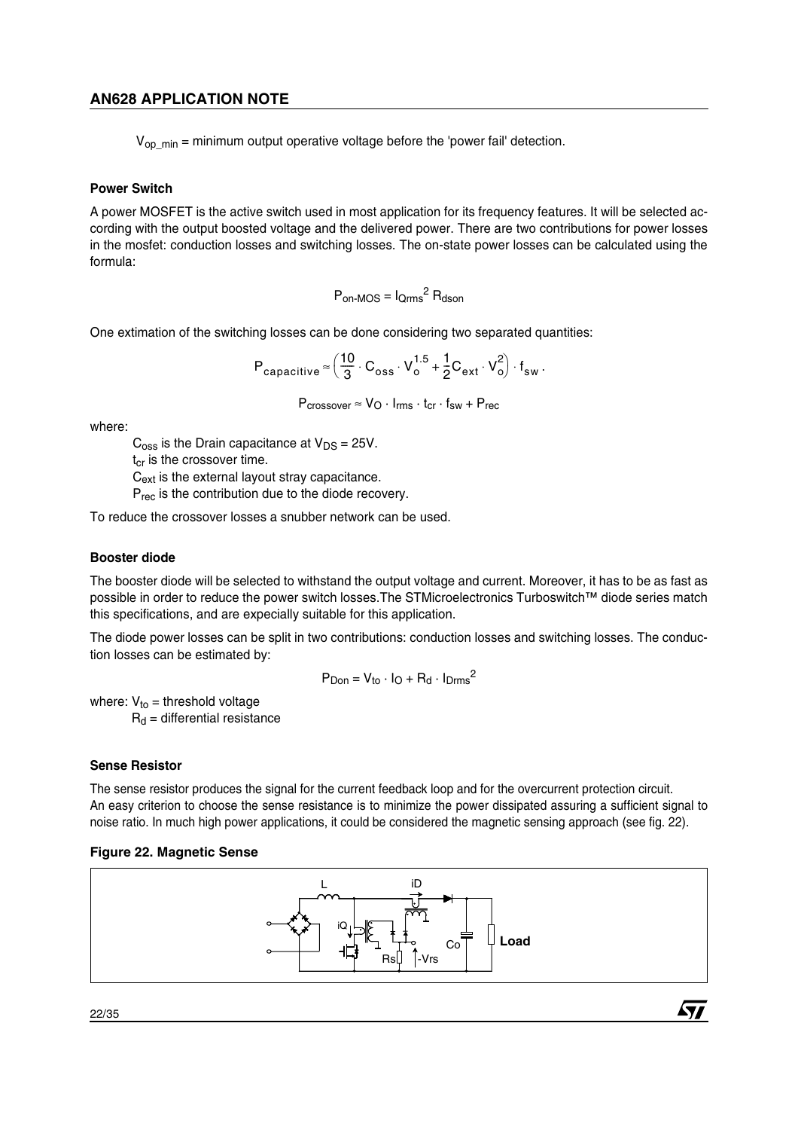$V_{op,min}$  = minimum output operative voltage before the 'power fail' detection.

### **Power Switch**

A power MOSFET is the active switch used in most application for its frequency features. It will be selected according with the output boosted voltage and the delivered power. There are two contributions for power losses in the mosfet: conduction losses and switching losses. The on-state power losses can be calculated using the formula:

$$
P_{\text{on-MOS}} = I_{\text{Qrms}}^2 R_{\text{dson}}
$$

One extimation of the switching losses can be done considering two separated quantities:

$$
P_{capacitive} \approx \left(\frac{10}{3} \cdot C_{oss} \cdot V_0^{1.5} + \frac{1}{2} C_{ext} \cdot V_0^2\right) \cdot f_{sw}.
$$

$$
P_{crossover} \approx V_O \cdot I_{rms} \cdot t_{cr} \cdot f_{sw} + P_{rec}
$$

where:

 $C<sub>oss</sub>$  is the Drain capacitance at  $V<sub>DS</sub> = 25V$ .

 $t_{cr}$  is the crossover time.

C<sub>ext</sub> is the external layout stray capacitance.

P<sub>rec</sub> is the contribution due to the diode recovery.

To reduce the crossover losses a snubber network can be used.

### **Booster diode**

The booster diode will be selected to withstand the output voltage and current. Moreover, it has to be as fast as possible in order to reduce the power switch losses.The STMicroelectronics Turboswitch™ diode series match this specifications, and are expecially suitable for this application.

The diode power losses can be split in two contributions: conduction losses and switching losses. The conduction losses can be estimated by:

$$
P_{Don} = V_{to} \cdot I_O + R_d \cdot I_{Drms}^2
$$

where:  $V_{to}$  = threshold voltage  $R_d$  = differential resistance

### **Sense Resistor**

The sense resistor produces the signal for the current feedback loop and for the overcurrent protection circuit. An easy criterion to choose the sense resistance is to minimize the power dissipated assuring a sufficient signal to noise ratio. In much high power applications, it could be considered the magnetic sensing approach (see fig. 22).

### **Figure 22. Magnetic Sense**



57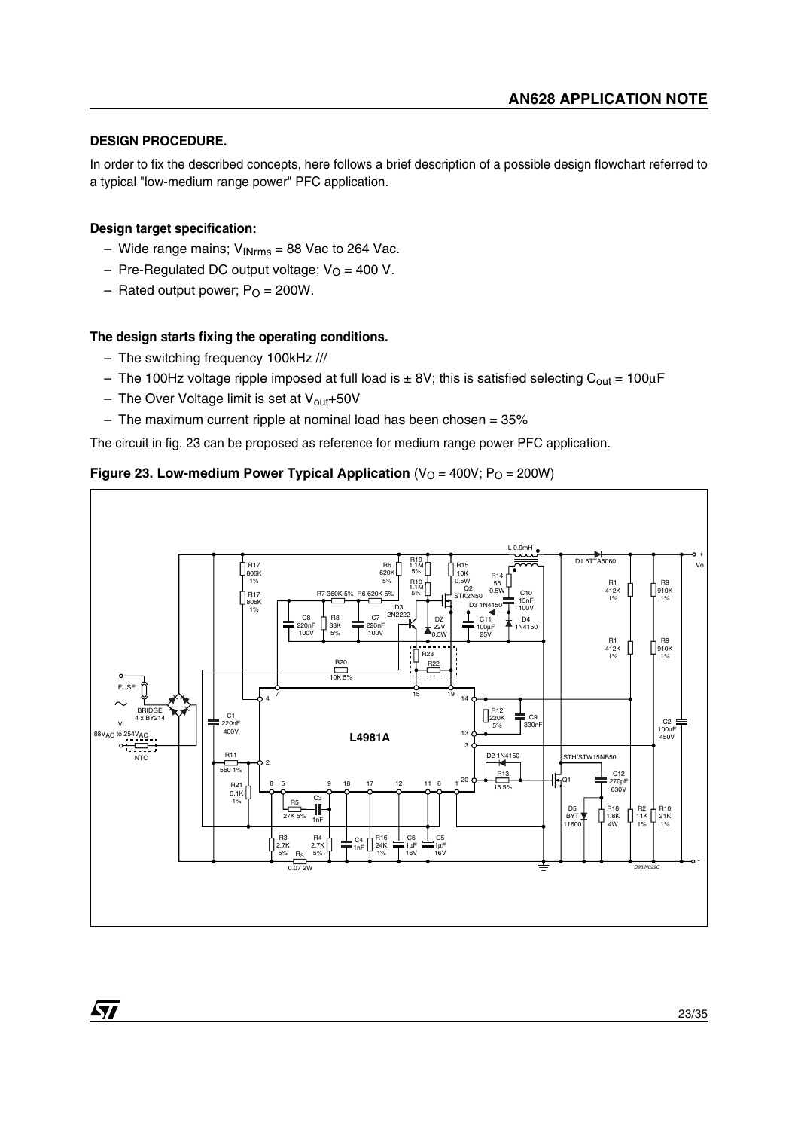### **DESIGN PROCEDURE.**

In order to fix the described concepts, here follows a brief description of a possible design flowchart referred to a typical "low-medium range power" PFC application.

### **Design target specification:**

 $\sqrt{1}$ 

- Wide range mains;  $V_{INrms}$  = 88 Vac to 264 Vac.
- Pre-Regulated DC output voltage;  $V<sub>O</sub> = 400$  V.
- Rated output power;  $P<sub>O</sub> = 200W$ .

### **The design starts fixing the operating conditions.**

- The switching frequency 100kHz ///
- The 100Hz voltage ripple imposed at full load is  $\pm$  8V; this is satisfied selecting C<sub>out</sub> = 100µF
- The Over Voltage limit is set at  $V_{\text{out}}+50V$
- $-$  The maximum current ripple at nominal load has been chosen = 35%

The circuit in fig. 23 can be proposed as reference for medium range power PFC application.

# **Figure 23. Low-medium Power Typical Application**  $(V<sub>O</sub> = 400V; P<sub>O</sub> = 200W)$

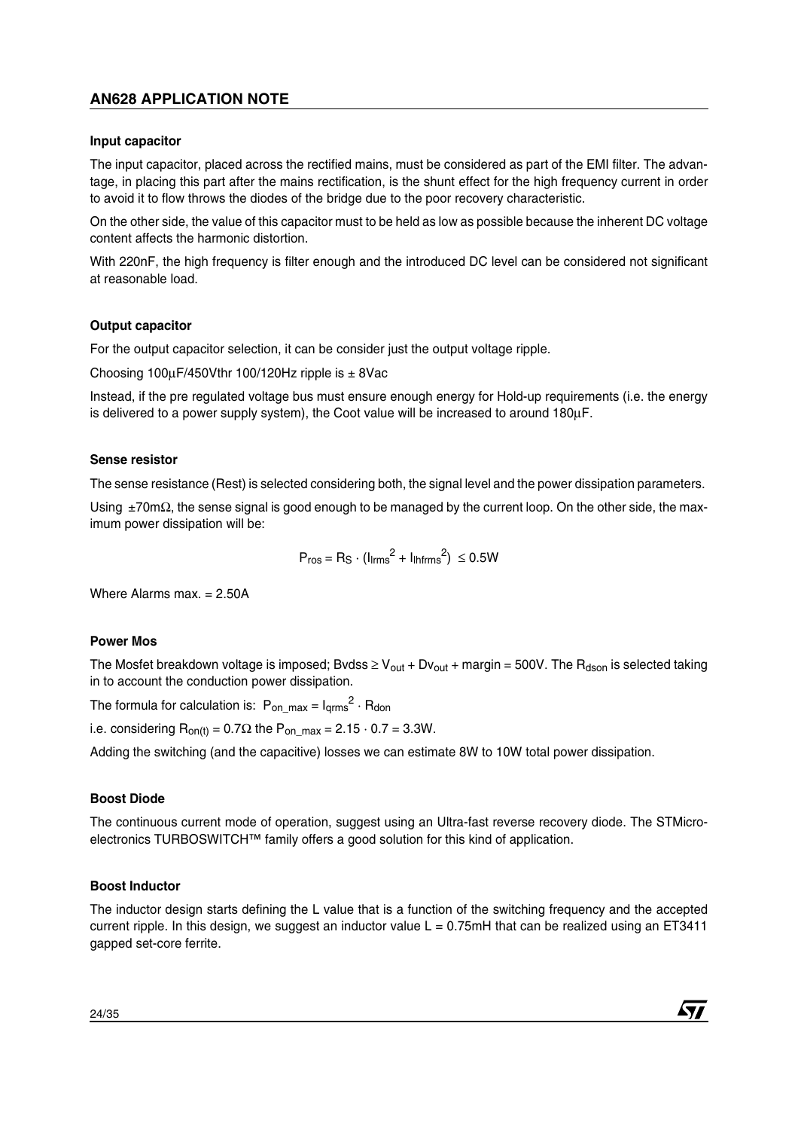### **Input capacitor**

The input capacitor, placed across the rectified mains, must be considered as part of the EMI filter. The advantage, in placing this part after the mains rectification, is the shunt effect for the high frequency current in order to avoid it to flow throws the diodes of the bridge due to the poor recovery characteristic.

On the other side, the value of this capacitor must to be held as low as possible because the inherent DC voltage content affects the harmonic distortion.

With 220nF, the high frequency is filter enough and the introduced DC level can be considered not significant at reasonable load.

#### **Output capacitor**

For the output capacitor selection, it can be consider just the output voltage ripple.

Choosing  $100\mu$ F/450Vthr 100/120Hz ripple is  $\pm$  8Vac

Instead, if the pre regulated voltage bus must ensure enough energy for Hold-up requirements (i.e. the energy is delivered to a power supply system), the Coot value will be increased to around 180µF.

#### **Sense resistor**

The sense resistance (Rest) is selected considering both, the signal level and the power dissipation parameters.

Using ±70mΩ, the sense signal is good enough to be managed by the current loop. On the other side, the maximum power dissipation will be:

$$
P_{\text{ros}} = R_{\text{S}} \cdot (I_{\text{lrms}}^2 + I_{\text{lhfrms}}^2) \leq 0.5W
$$

Where Alarms max. = 2.50A

#### **Power Mos**

The Mosfet breakdown voltage is imposed; Bvdss  $\geq V_{\text{out}} + Dv_{\text{out}} + \text{margin} = 500V$ . The R<sub>dson</sub> is selected taking in to account the conduction power dissipation.

The formula for calculation is:  $P_{on\_max} = I_{\text{qrms}}^2 \cdot R_{\text{don}}$ 

i.e. considering  $R_{on(t)} = 0.7\Omega$  the  $P_{on,max} = 2.15 \cdot 0.7 = 3.3W$ .

Adding the switching (and the capacitive) losses we can estimate 8W to 10W total power dissipation.

### **Boost Diode**

The continuous current mode of operation, suggest using an Ultra-fast reverse recovery diode. The STMicroelectronics TURBOSWITCH™ family offers a good solution for this kind of application.

### **Boost Inductor**

The inductor design starts defining the L value that is a function of the switching frequency and the accepted current ripple. In this design, we suggest an inductor value  $L = 0.75$ mH that can be realized using an ET3411 gapped set-core ferrite.

$$
\sqrt{M}
$$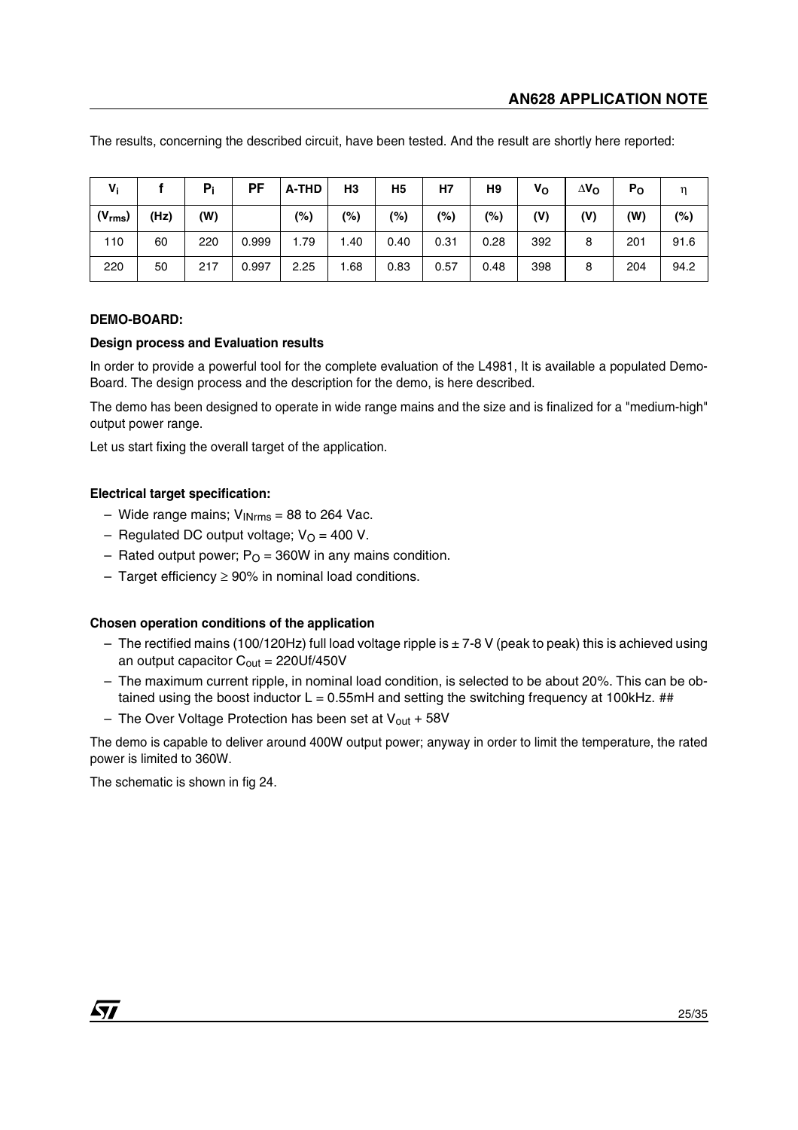| $V_i$       |      | $P_i$ | PF    | A-THD | H <sub>3</sub> | H <sub>5</sub> | H7   | H <sub>9</sub> | V <sub>o</sub> | $\Delta$ V <sub>O</sub> | P <sub>O</sub> |        |
|-------------|------|-------|-------|-------|----------------|----------------|------|----------------|----------------|-------------------------|----------------|--------|
| $(V_{rms})$ | (Hz) | (W)   |       | (%)   | $(\%)$         | $(\%)$         | (%)  | $(\%)$         | (V)            | (V)                     | (W)            | $(\%)$ |
| 110         | 60   | 220   | 0.999 | 1.79  | 1.40           | 0.40           | 0.31 | 0.28           | 392            | 8                       | 201            | 91.6   |
| 220         | 50   | 217   | 0.997 | 2.25  | 1.68           | 0.83           | 0.57 | 0.48           | 398            | 8                       | 204            | 94.2   |

The results, concerning the described circuit, have been tested. And the result are shortly here reported:

#### **DEMO-BOARD:**

#### **Design process and Evaluation results**

In order to provide a powerful tool for the complete evaluation of the L4981, It is available a populated Demo-Board. The design process and the description for the demo, is here described.

The demo has been designed to operate in wide range mains and the size and is finalized for a "medium-high" output power range.

Let us start fixing the overall target of the application.

### **Electrical target specification:**

- Wide range mains;  $V_{\text{INrms}} = 88$  to 264 Vac.
- Regulated DC output voltage;  $V<sub>O</sub> = 400 V$ .
- Rated output power;  $P<sub>O</sub>$  = 360W in any mains condition.
- Target efficiency ≥ 90% in nominal load conditions.

#### **Chosen operation conditions of the application**

- The rectified mains (100/120Hz) full load voltage ripple is  $\pm$  7-8 V (peak to peak) this is achieved using an output capacitor  $C_{\text{out}} = 220Uf/450V$
- The maximum current ripple, in nominal load condition, is selected to be about 20%. This can be obtained using the boost inductor  $L = 0.55$ mH and setting the switching frequency at 100kHz. ##
- The Over Voltage Protection has been set at  $V_{\text{out}}$  + 58V

The demo is capable to deliver around 400W output power; anyway in order to limit the temperature, the rated power is limited to 360W.

The schematic is shown in fig 24.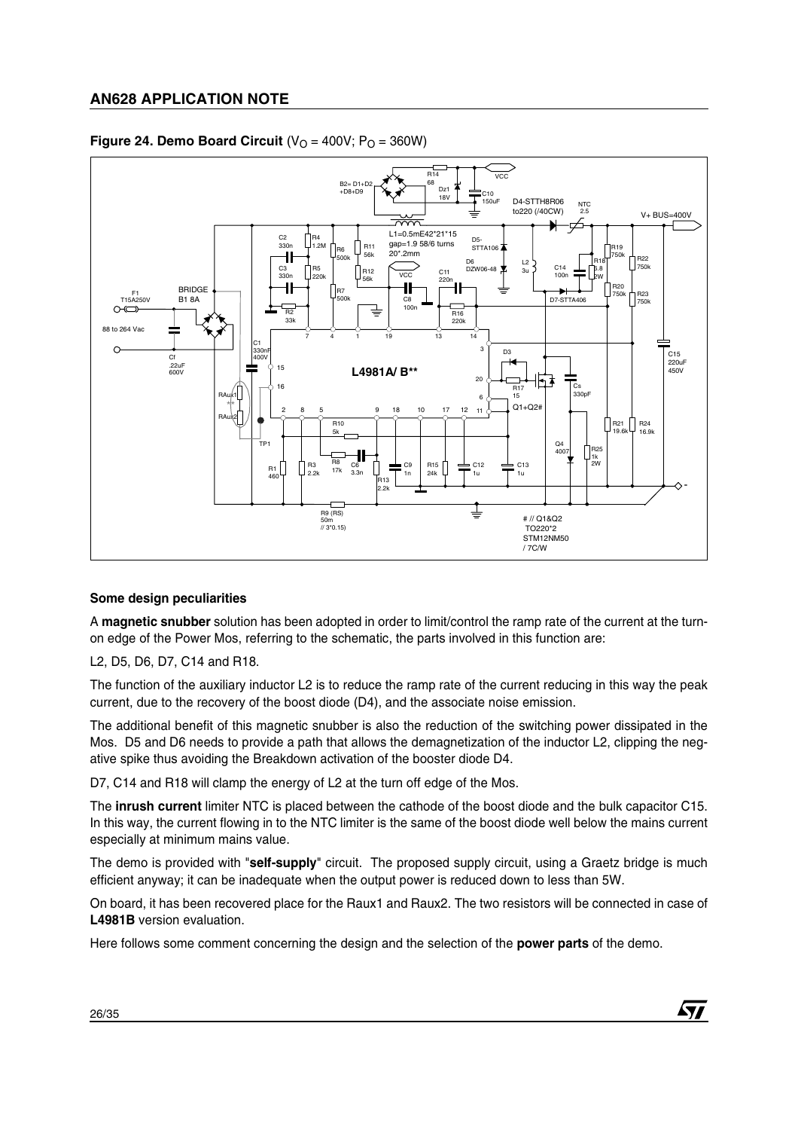

### **Figure 24. Demo Board Circuit**  $(V<sub>O</sub> = 400V; P<sub>O</sub> = 360W)$

### **Some design peculiarities**

A **magnetic snubber** solution has been adopted in order to limit/control the ramp rate of the current at the turnon edge of the Power Mos, referring to the schematic, the parts involved in this function are:

L2, D5, D6, D7, C14 and R18.

The function of the auxiliary inductor L2 is to reduce the ramp rate of the current reducing in this way the peak current, due to the recovery of the boost diode (D4), and the associate noise emission.

The additional benefit of this magnetic snubber is also the reduction of the switching power dissipated in the Mos. D5 and D6 needs to provide a path that allows the demagnetization of the inductor L2, clipping the negative spike thus avoiding the Breakdown activation of the booster diode D4.

D7, C14 and R18 will clamp the energy of L2 at the turn off edge of the Mos.

The **inrush current** limiter NTC is placed between the cathode of the boost diode and the bulk capacitor C15. In this way, the current flowing in to the NTC limiter is the same of the boost diode well below the mains current especially at minimum mains value.

The demo is provided with "**self-supply**" circuit. The proposed supply circuit, using a Graetz bridge is much efficient anyway; it can be inadequate when the output power is reduced down to less than 5W.

On board, it has been recovered place for the Raux1 and Raux2. The two resistors will be connected in case of **L4981B** version evaluation.

Here follows some comment concerning the design and the selection of the **power parts** of the demo.

57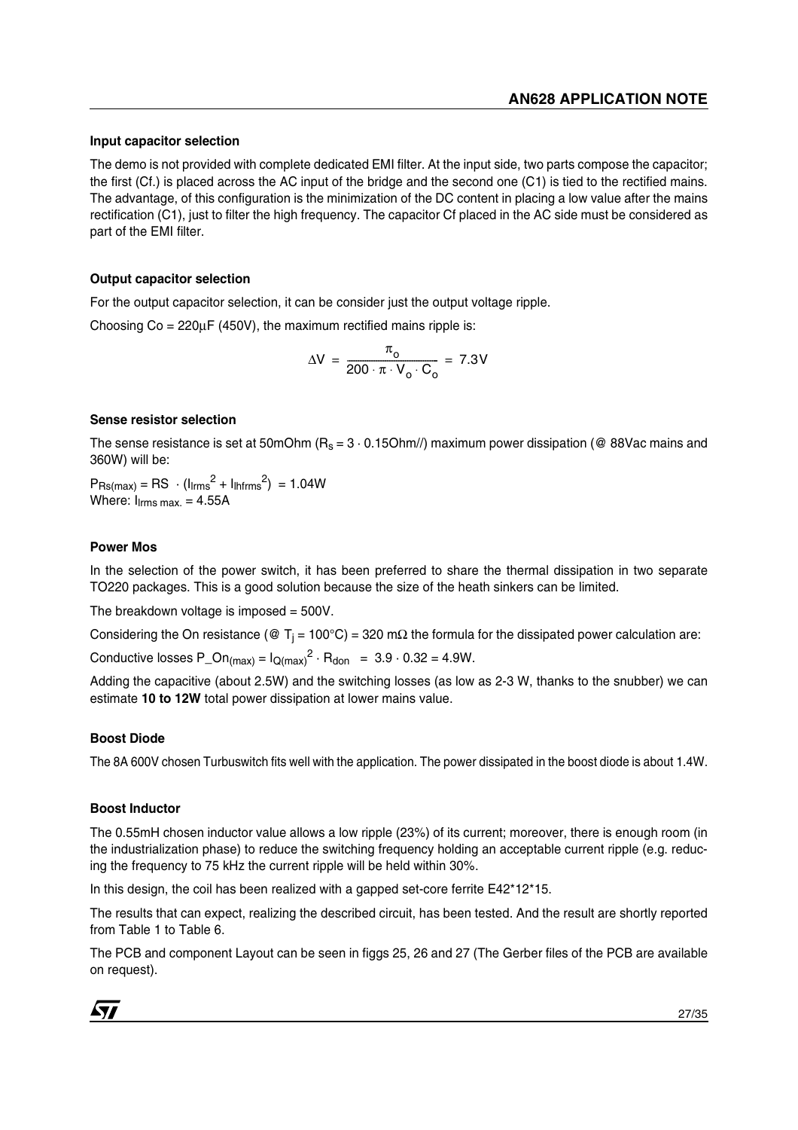### **Input capacitor selection**

The demo is not provided with complete dedicated EMI filter. At the input side, two parts compose the capacitor; the first (Cf.) is placed across the AC input of the bridge and the second one (C1) is tied to the rectified mains. The advantage, of this configuration is the minimization of the DC content in placing a low value after the mains rectification (C1), just to filter the high frequency. The capacitor Cf placed in the AC side must be considered as part of the EMI filter.

### **Output capacitor selection**

For the output capacitor selection, it can be consider just the output voltage ripple.

Choosing  $Co = 220\mu\text{F}$  (450V), the maximum rectified mains ripple is:

$$
\Delta V = \frac{\pi_{\text{o}}}{200 \cdot \pi \cdot V_{\text{o}} \cdot C_{\text{o}}} = 7.3V
$$

### **Sense resistor selection**

The sense resistance is set at 50mOhm ( $R_s = 3 \cdot 0.15$ Ohm//) maximum power dissipation (@ 88Vac mains and 360W) will be:

 $P_{\text{Rs(max)}} = \text{RS} \cdot (I_{\text{lrms}}^2 + I_{\text{lhfrms}}^2) = 1.04W$ Where:  $I_{\text{lrms max.}} = 4.55A$ 

### **Power Mos**

In the selection of the power switch, it has been preferred to share the thermal dissipation in two separate TO220 packages. This is a good solution because the size of the heath sinkers can be limited.

The breakdown voltage is imposed = 500V.

Considering the On resistance (@ T<sub>i</sub> = 100°C) = 320 mΩ the formula for the dissipated power calculation are:

Conductive losses P\_On<sub>(max)</sub> =  $I_{\text{O(max)}}^2 \cdot R_{\text{don}} = 3.9 \cdot 0.32 = 4.9W$ .

Adding the capacitive (about 2.5W) and the switching losses (as low as 2-3 W, thanks to the snubber) we can estimate **10 to 12W** total power dissipation at lower mains value.

### **Boost Diode**

The 8A 600V chosen Turbuswitch fits well with the application. The power dissipated in the boost diode is about 1.4W.

### **Boost Inductor**

The 0.55mH chosen inductor value allows a low ripple (23%) of its current; moreover, there is enough room (in the industrialization phase) to reduce the switching frequency holding an acceptable current ripple (e.g. reducing the frequency to 75 kHz the current ripple will be held within 30%.

In this design, the coil has been realized with a gapped set-core ferrite E42\*12\*15.

The results that can expect, realizing the described circuit, has been tested. And the result are shortly reported from Table 1 to Table 6.

The PCB and component Layout can be seen in figgs 25, 26 and 27 (The Gerber files of the PCB are available on request).

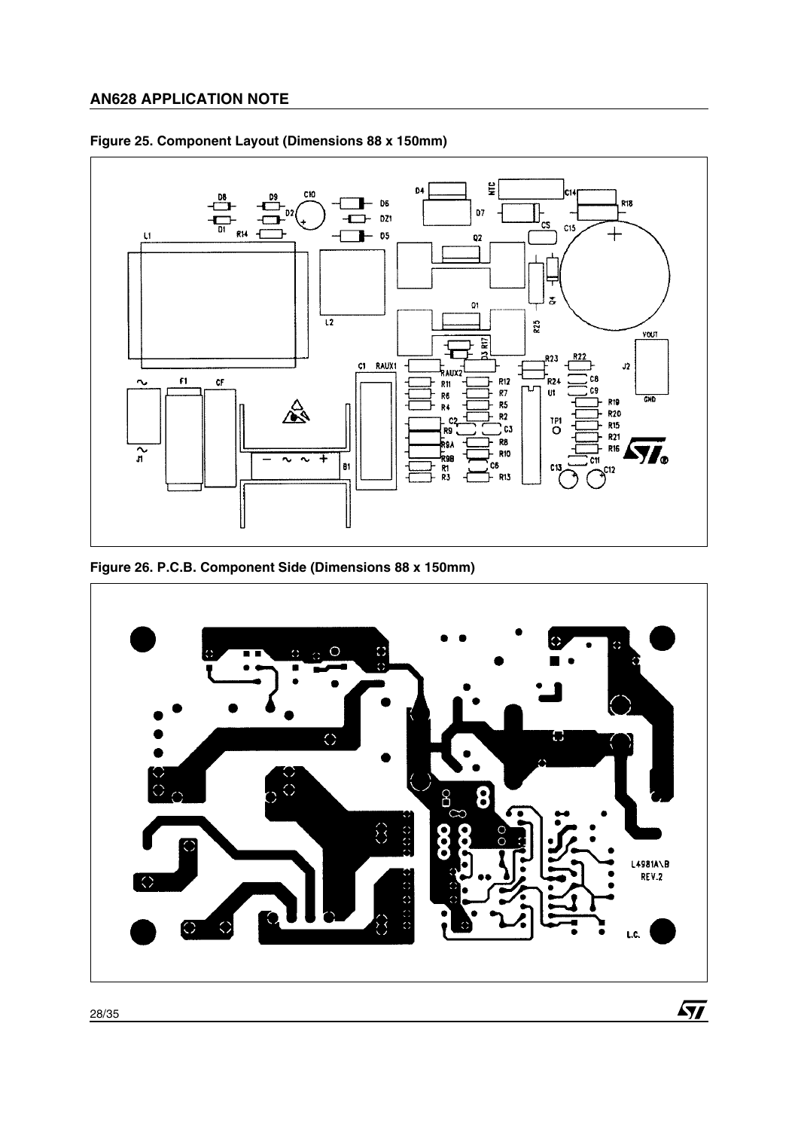

# **Figure 25. Component Layout (Dimensions 88 x 150mm)**

**Figure 26. P.C.B. Component Side (Dimensions 88 x 150mm)**

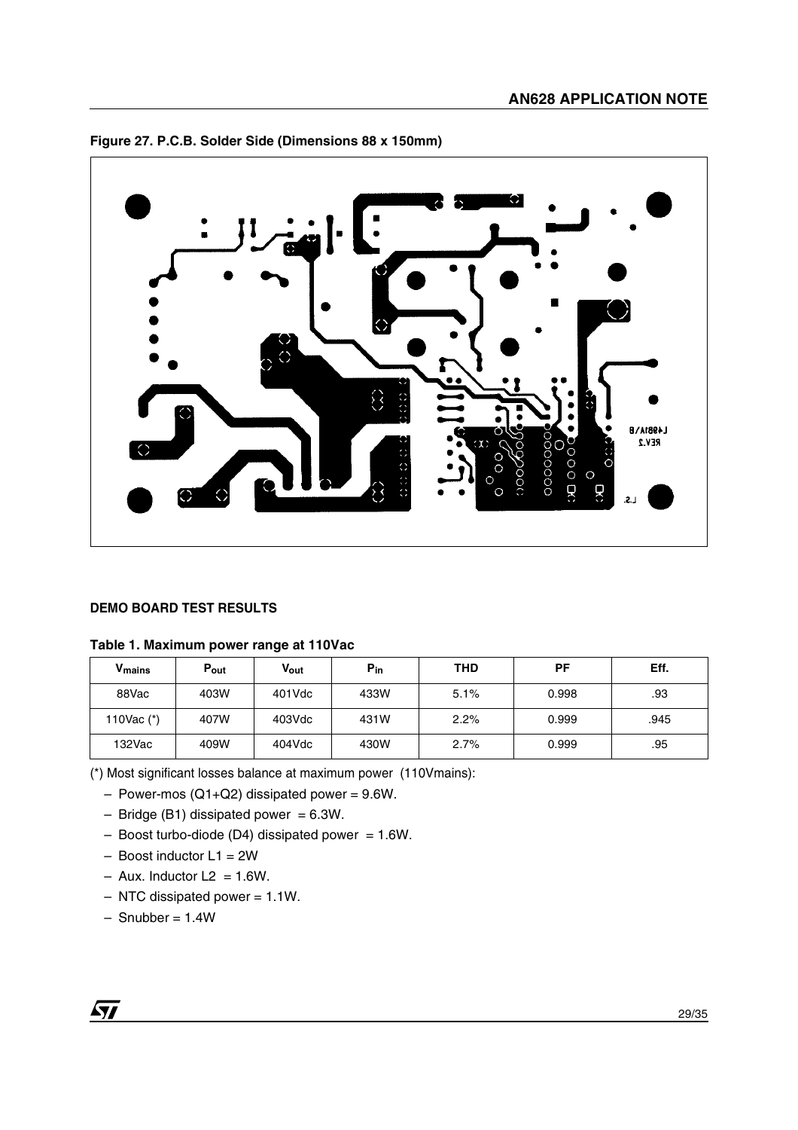



### **DEMO BOARD TEST RESULTS**

### **Table 1. Maximum power range at 110Vac**

| V <sub>mains</sub> | Pout | Vout      | $P_{in}$ | THD  | PF    | Eff. |
|--------------------|------|-----------|----------|------|-------|------|
| 88Vac              | 403W | $401$ Vdc | 433W     | 5.1% | 0.998 | .93  |
| 110Vac $(*)$       | 407W | $403$ Vdc | 431W     | 2.2% | 0.999 | .945 |
| 132Vac             | 409W | 404Vdc    | 430W     | 2.7% | 0.999 | .95  |

(\*) Most significant losses balance at maximum power (110Vmains):

- $-$  Power-mos (Q1+Q2) dissipated power = 9.6W.
- $-$  Bridge (B1) dissipated power = 6.3W.
- $-$  Boost turbo-diode (D4) dissipated power = 1.6W.
- $-$  Boost inductor L1 = 2W
- $-$  Aux. Inductor L2 = 1.6W.
- $-$  NTC dissipated power = 1.1W.
- $-$  Snubber = 1.4W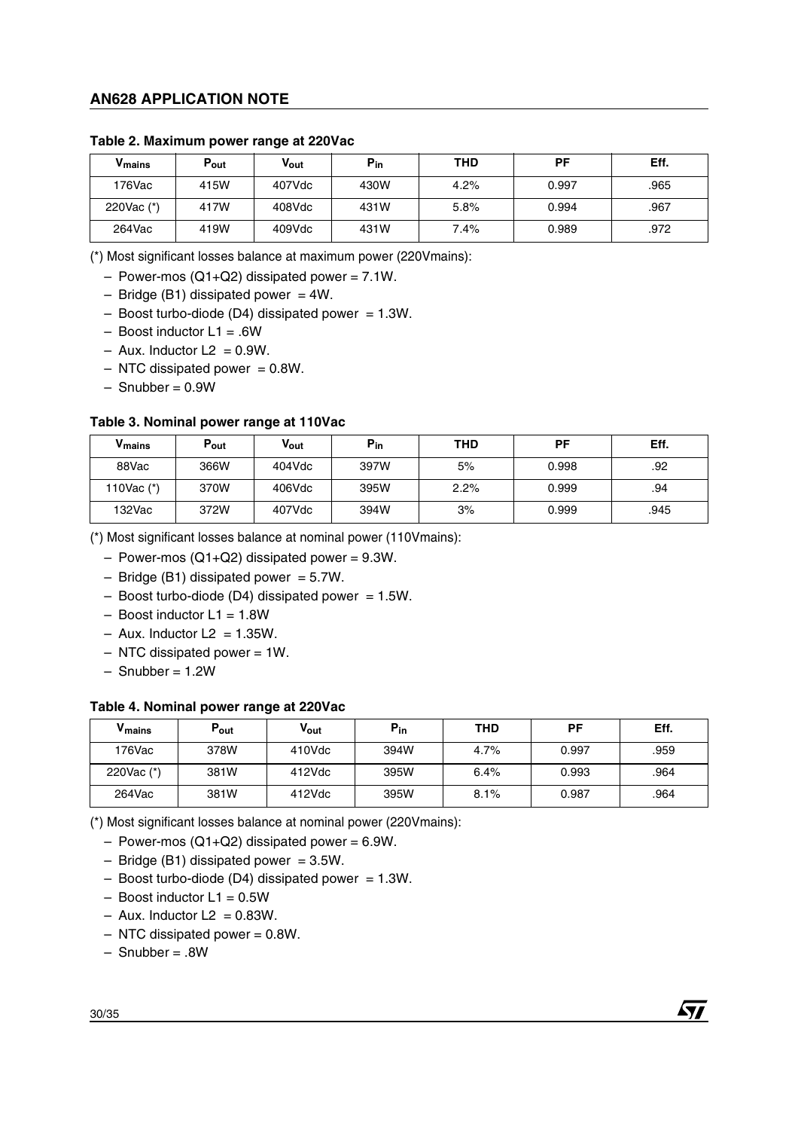| V <sub>mains</sub> | $P_{\text{out}}$ | Vout      | $P_{in}$ | THD  | РF    | Eff. |
|--------------------|------------------|-----------|----------|------|-------|------|
| 176Vac             | 415W             | 407Vdc    | 430W     | 4.2% | 0.997 | .965 |
| 220Vac (*)         | 417W             | $408$ Vdc | 431W     | 5.8% | 0.994 | .967 |
| 264Vac             | 419W             | $409$ Vdc | 431W     | 7.4% | 0.989 | .972 |

#### **Table 2. Maximum power range at 220Vac**

(\*) Most significant losses balance at maximum power (220Vmains):

 $-$  Power-mos (Q1+Q2) dissipated power = 7.1W.

- $-$  Bridge (B1) dissipated power = 4W.
- $-$  Boost turbo-diode (D4) dissipated power = 1.3W.
- $-$  Boost inductor  $L1 = .6W$
- $-$  Aux. Inductor L2 = 0.9W.
- $-$  NTC dissipated power  $= 0.8W$ .
- $-$  Snubber =  $0.9W$

#### **Table 3. Nominal power range at 110Vac**

| V <sub>mains</sub> | $P_{\text{out}}$ | Vout      | $P_{in}$ | THD  | PF    | Eff. |
|--------------------|------------------|-----------|----------|------|-------|------|
| 88Vac              | 366W             | 404Vdc    | 397W     | 5%   | 0.998 | .92  |
| 110Vac (*)         | 370W             | $406$ Vdc | 395W     | 2.2% | 0.999 | .94  |
| 132Vac             | 372W             | 407Vdc    | 394W     | 3%   | 0.999 | .945 |

(\*) Most significant losses balance at nominal power (110Vmains):

- $-$  Power-mos (Q1+Q2) dissipated power = 9.3W.
- $-$  Bridge (B1) dissipated power = 5.7W.
- $-$  Boost turbo-diode (D4) dissipated power = 1.5W.
- $-$  Boost inductor  $L1 = 1.8W$
- $-$  Aux. Inductor L2 = 1.35W.
- $-$  NTC dissipated power = 1W.
- $-$  Snubber = 1.2W

#### **Table 4. Nominal power range at 220Vac**

| V <sub>mains</sub> | Pout | Vout   | $P_{in}$ | THD  | РF    | Eff. |
|--------------------|------|--------|----------|------|-------|------|
| 176Vac             | 378W | 410Vdc | 394W     | 4.7% | 0.997 | .959 |
| 220Vac $(*)$       | 381W | 412Vdc | 395W     | 6.4% | 0.993 | .964 |
| 264Vac             | 381W | 412Vdc | 395W     | 8.1% | 0.987 | .964 |

(\*) Most significant losses balance at nominal power (220Vmains):

– Power-mos  $(Q1+Q2)$  dissipated power = 6.9W.

 $-$  Bridge (B1) dissipated power = 3.5W.

- $-$  Boost turbo-diode (D4) dissipated power = 1.3W.
- $-$  Boost inductor  $L1 = 0.5W$
- $-$  Aux. Inductor L2 = 0.83W.
- $-$  NTC dissipated power = 0.8W.
- Snubber = .8W

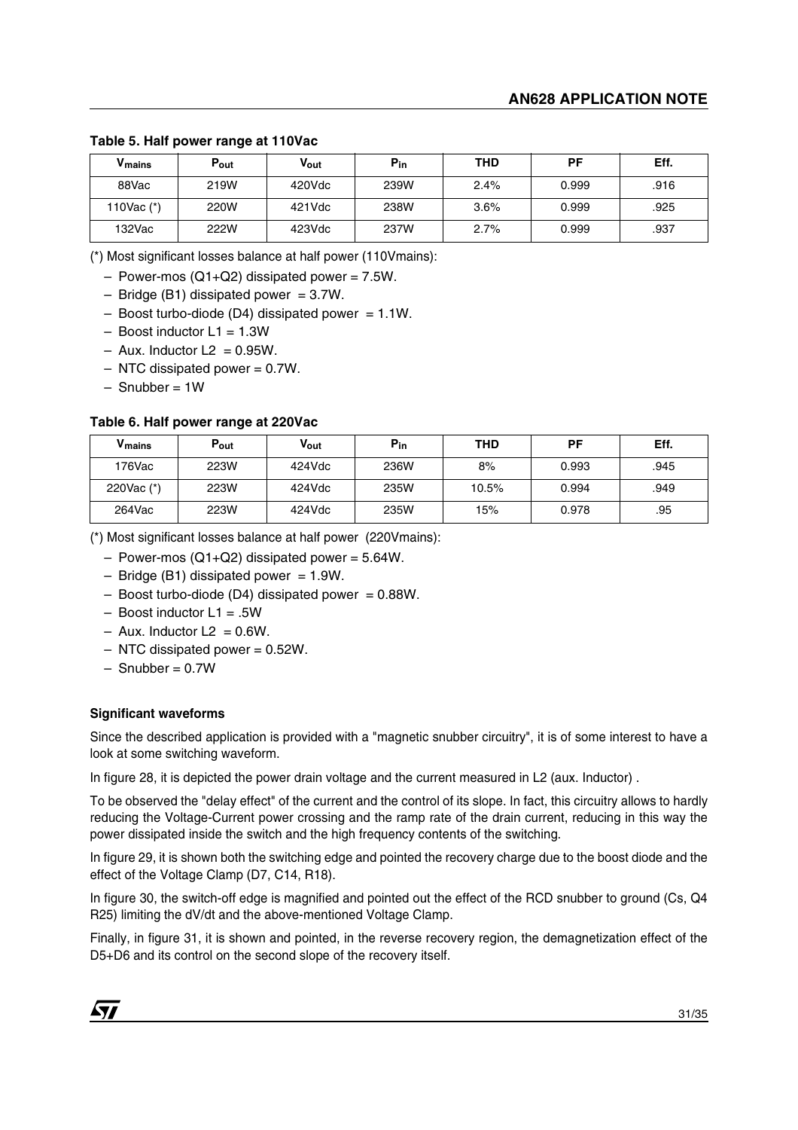**Table 5. Half power range at 110Vac**

| V <sub>mains</sub> | Pout | Vout    | $P_{in}$ | <b>THD</b> | PF    | Eff. |
|--------------------|------|---------|----------|------------|-------|------|
| 88Vac              | 219W | 420Vdc  | 239W     | 2.4%       | 0.999 | .916 |
| 110Vac $(*)$       | 220W | 421 Vdc | 238W     | 3.6%       | 0.999 | .925 |
| 132Vac             | 222W | 423Vdc  | 237W     | 2.7%       | 0.999 | .937 |

(\*) Most significant losses balance at half power (110Vmains):

- $-$  Power-mos (Q1+Q2) dissipated power = 7.5W.
- $-$  Bridge (B1) dissipated power = 3.7W.
- $-$  Boost turbo-diode (D4) dissipated power = 1.1W.
- $-$  Boost inductor  $L1 = 1.3W$
- $-$  Aux. Inductor L2 = 0.95W.
- $-$  NTC dissipated power = 0.7W.
- $-$  Snubber = 1W

#### **Table 6. Half power range at 220Vac**

| V <sub>mains</sub> | Pout | Vout   | $P_{in}$ | <b>THD</b> | РF    | Eff. |
|--------------------|------|--------|----------|------------|-------|------|
| 176Vac             | 223W | 424Vdc | 236W     | 8%         | 0.993 | .945 |
| 220Vac $(*)$       | 223W | 424Vdc | 235W     | 10.5%      | 0.994 | .949 |
| 264Vac             | 223W | 424Vdc | 235W     | 15%        | 0.978 | .95  |

(\*) Most significant losses balance at half power (220Vmains):

- $-$  Power-mos (Q1+Q2) dissipated power = 5.64W.
- $-$  Bridge (B1) dissipated power = 1.9W.
- $-$  Boost turbo-diode (D4) dissipated power = 0.88W.
- Boost inductor L1 = .5W
- $-$  Aux. Inductor L2 = 0.6W.
- $-$  NTC dissipated power = 0.52W.
- $-$  Snubber = 0.7W

#### **Significant waveforms**

Since the described application is provided with a "magnetic snubber circuitry", it is of some interest to have a look at some switching waveform.

In figure 28, it is depicted the power drain voltage and the current measured in L2 (aux. Inductor) .

To be observed the "delay effect" of the current and the control of its slope. In fact, this circuitry allows to hardly reducing the Voltage-Current power crossing and the ramp rate of the drain current, reducing in this way the power dissipated inside the switch and the high frequency contents of the switching.

In figure 29, it is shown both the switching edge and pointed the recovery charge due to the boost diode and the effect of the Voltage Clamp (D7, C14, R18).

In figure 30, the switch-off edge is magnified and pointed out the effect of the RCD snubber to ground (Cs, Q4 R25) limiting the dV/dt and the above-mentioned Voltage Clamp.

Finally, in figure 31, it is shown and pointed, in the reverse recovery region, the demagnetization effect of the D5+D6 and its control on the second slope of the recovery itself.

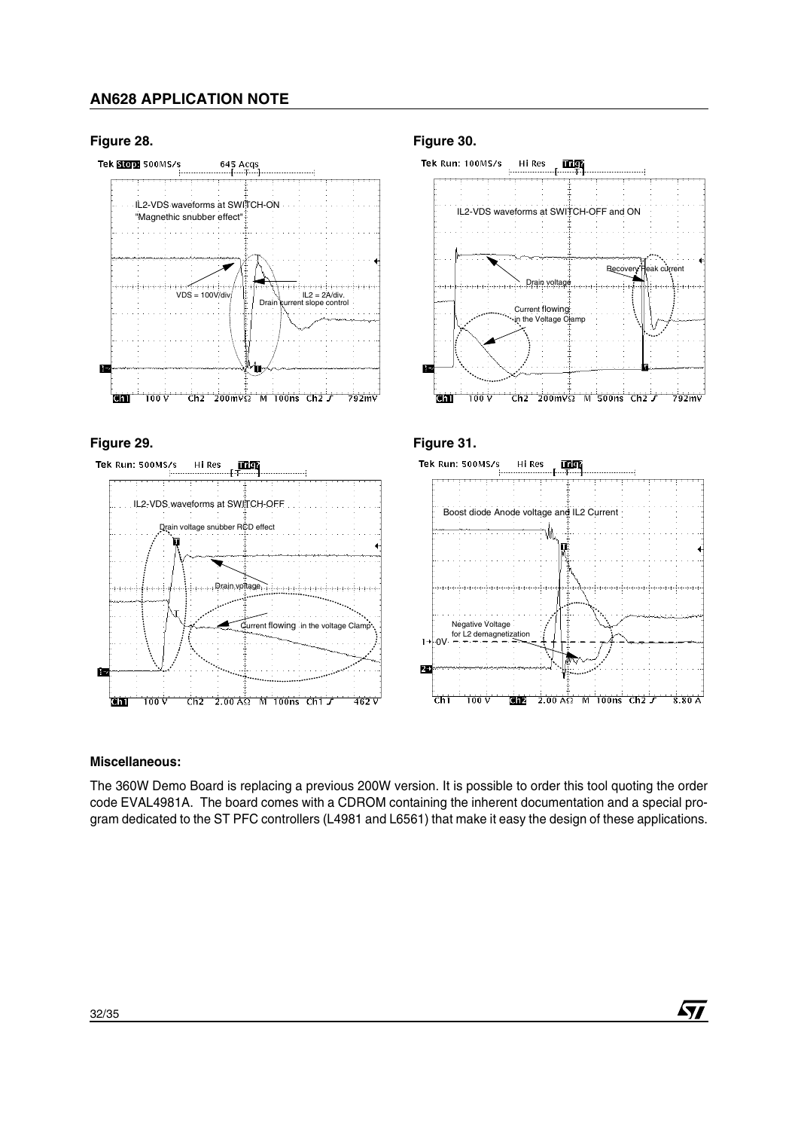### **Figure 28.**







### **Figure 30.**







*ST* 

### **Miscellaneous:**

The 360W Demo Board is replacing a previous 200W version. It is possible to order this tool quoting the order code EVAL4981A. The board comes with a CDROM containing the inherent documentation and a special program dedicated to the ST PFC controllers (L4981 and L6561) that make it easy the design of these applications.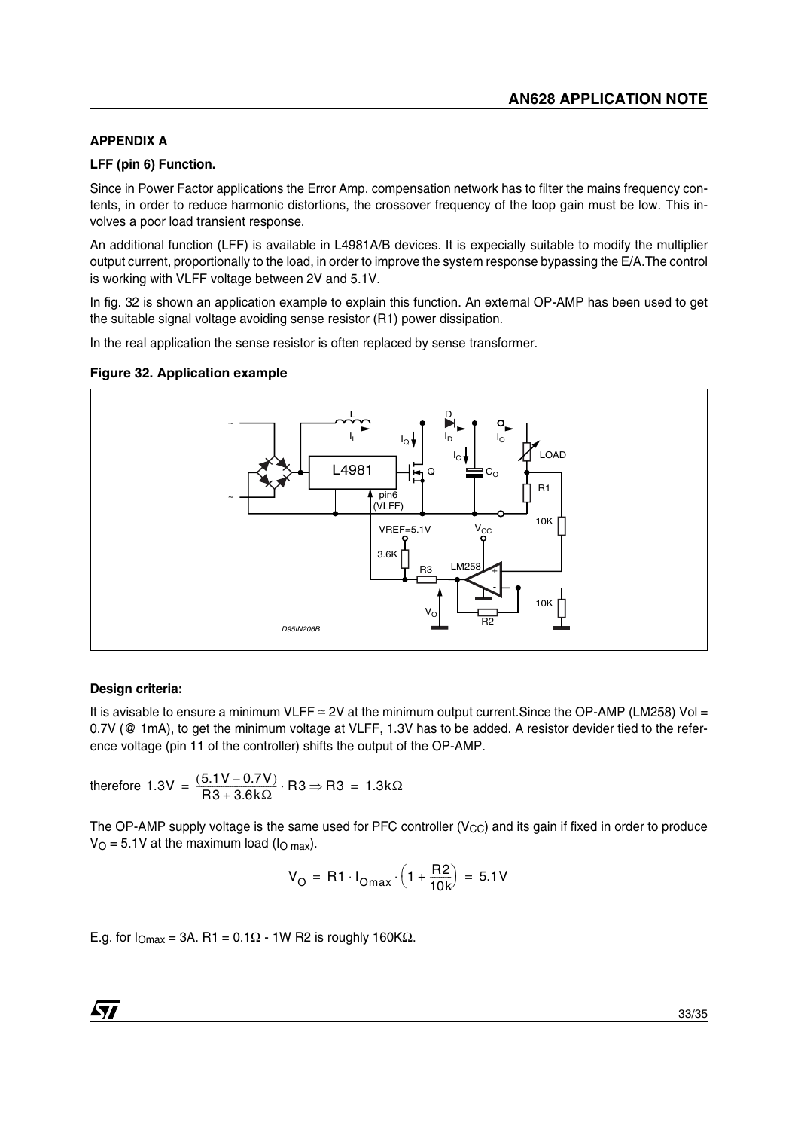# **APPENDIX A**

### **LFF (pin 6) Function.**

Since in Power Factor applications the Error Amp. compensation network has to filter the mains frequency contents, in order to reduce harmonic distortions, the crossover frequency of the loop gain must be low. This involves a poor load transient response.

An additional function (LFF) is available in L4981A/B devices. It is expecially suitable to modify the multiplier output current, proportionally to the load, in order to improve the system response bypassing the E/A.The control is working with VLFF voltage between 2V and 5.1V.

In fig. 32 is shown an application example to explain this function. An external OP-AMP has been used to get the suitable signal voltage avoiding sense resistor (R1) power dissipation.

In the real application the sense resistor is often replaced by sense transformer.

### **Figure 32. Application example**



### **Design criteria:**

It is avisable to ensure a minimum VLFF  $\cong$  2V at the minimum output current. Since the OP-AMP (LM258) Vol = 0.7V (@ 1mA), to get the minimum voltage at VLFF, 1.3V has to be added. A resistor devider tied to the reference voltage (pin 11 of the controller) shifts the output of the OP-AMP.

therefore 1.3V =  $\frac{(5.1V - 0.7V)}{R3 + 3.6k\Omega}$  · R3  $\Rightarrow$  R3 = 1.3kΩ

The OP-AMP supply voltage is the same used for PFC controller ( $V_{CC}$ ) and its gain if fixed in order to produce  $V_O = 5.1V$  at the maximum load ( $I_O$  max).

$$
V_{\text{O}} = R1 \cdot I_{\text{Omax}} \cdot \left(1 + \frac{R2}{10k}\right) = 5.1V
$$

E.g. for  $I_{\text{Omax}} = 3A$ . R1 = 0.1 $\Omega$  - 1W R2 is roughly 160K $\Omega$ .

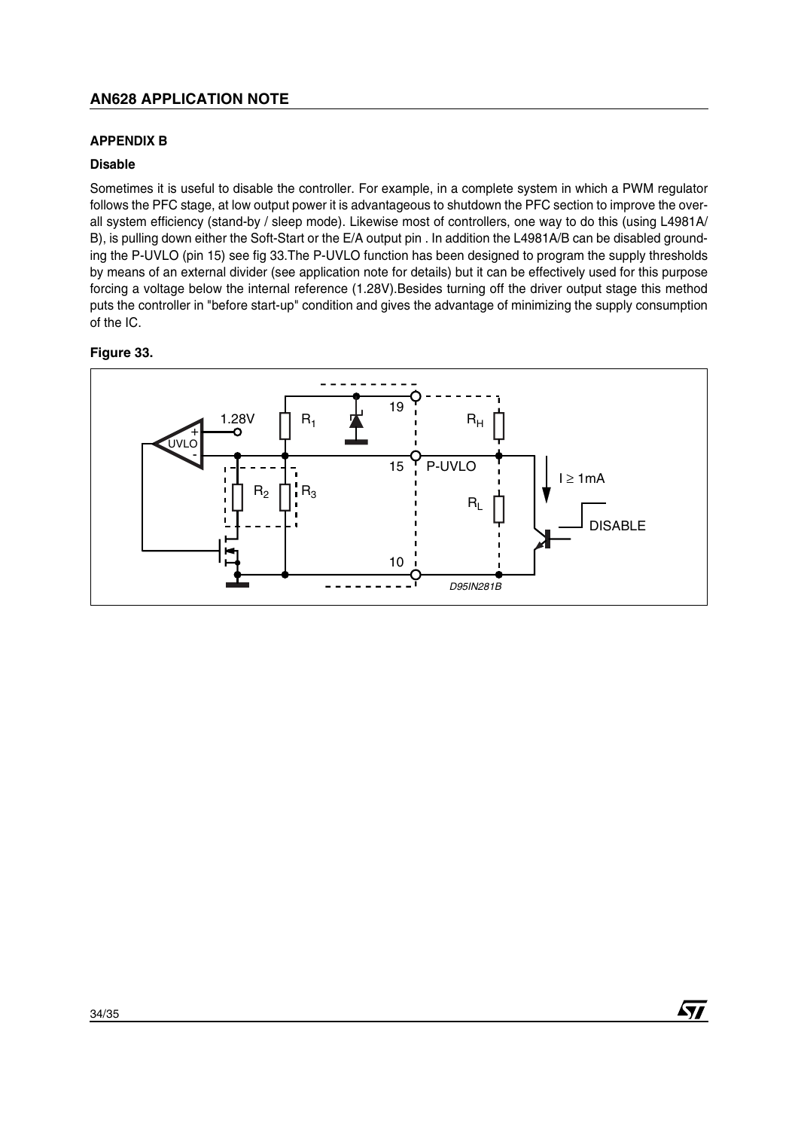### **APPENDIX B**

### **Disable**

Sometimes it is useful to disable the controller. For example, in a complete system in which a PWM regulator follows the PFC stage, at low output power it is advantageous to shutdown the PFC section to improve the overall system efficiency (stand-by / sleep mode). Likewise most of controllers, one way to do this (using L4981A/ B), is pulling down either the Soft-Start or the E/A output pin . In addition the L4981A/B can be disabled grounding the P-UVLO (pin 15) see fig 33.The P-UVLO function has been designed to program the supply thresholds by means of an external divider (see application note for details) but it can be effectively used for this purpose forcing a voltage below the internal reference (1.28V).Besides turning off the driver output stage this method puts the controller in "before start-up" condition and gives the advantage of minimizing the supply consumption of the IC.

### **Figure 33.**



*ST*